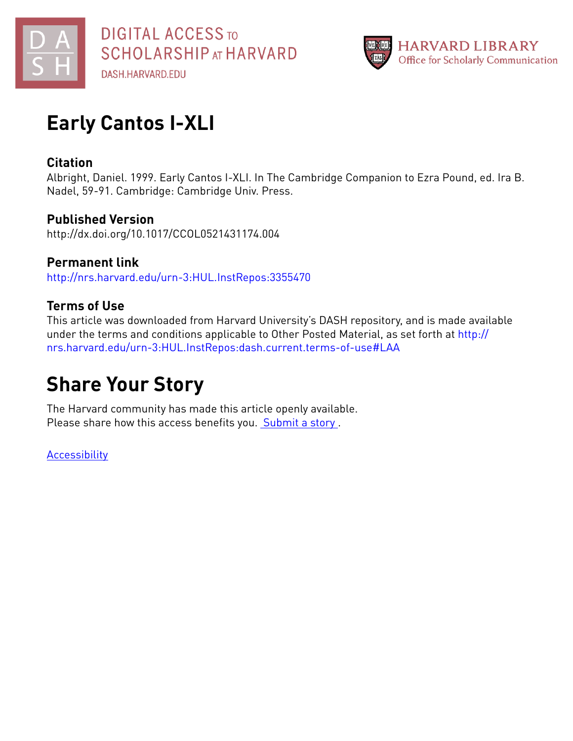



# **Early Cantos I-XLI**

# **Citation**

Albright, Daniel. 1999. Early Cantos I-XLI. In The Cambridge Companion to Ezra Pound, ed. Ira B. Nadel, 59-91. Cambridge: Cambridge Univ. Press.

# **Published Version**

http://dx.doi.org/10.1017/CCOL0521431174.004

**Permanent link** <http://nrs.harvard.edu/urn-3:HUL.InstRepos:3355470>

# **Terms of Use**

This article was downloaded from Harvard University's DASH repository, and is made available under the terms and conditions applicable to Other Posted Material, as set forth at [http://](http://nrs.harvard.edu/urn-3:HUL.InstRepos:dash.current.terms-of-use#LAA) [nrs.harvard.edu/urn-3:HUL.InstRepos:dash.current.terms-of-use#LAA](http://nrs.harvard.edu/urn-3:HUL.InstRepos:dash.current.terms-of-use#LAA)

# **Share Your Story**

The Harvard community has made this article openly available. Please share how this access benefits you. **[Submit](http://osc.hul.harvard.edu/dash/open-access-feedback?handle=&title=Early%20Cantos%20I-XLI&community=1/1&collection=1/2&owningCollection1/2&harvardAuthors=db8572ea8be06764f7a8b333aa9b0c7c&departmentLiterature%20and%20Comparative%20Literature) a story**.

**[Accessibility](https://dash.harvard.edu/pages/accessibility)**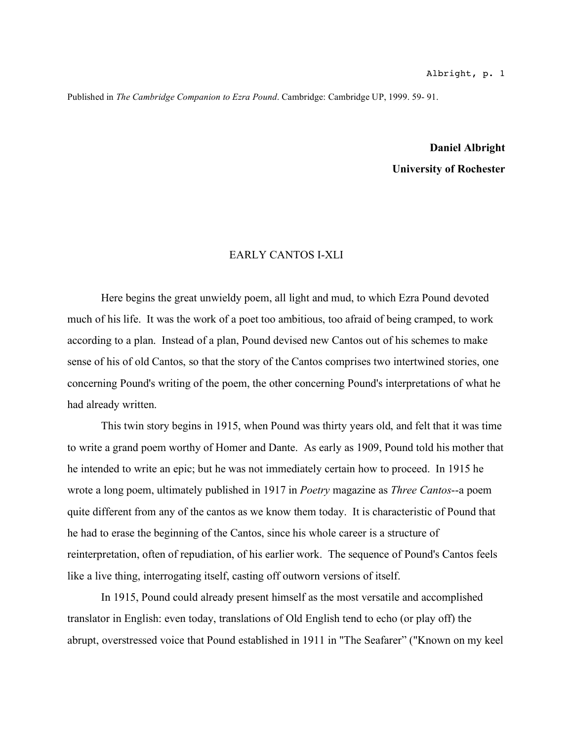#### Albright, p. 1

Published in *The Cambridge Companion to Ezra Pound*. Cambridge: Cambridge UP, 1999. 59- 91.

**Daniel Albright University of Rochester**

## EARLY CANTOS I-XLI

Here begins the great unwieldy poem, all light and mud, to which Ezra Pound devoted much of his life. It was the work of a poet too ambitious, too afraid of being cramped, to work according to a plan. Instead of a plan, Pound devised new Cantos out of his schemes to make sense of his of old Cantos, so that the story of the Cantos comprises two intertwined stories, one concerning Pound's writing of the poem, the other concerning Pound's interpretations of what he had already written.

This twin story begins in 1915, when Pound was thirty years old, and felt that it was time to write a grand poem worthy of Homer and Dante. As early as 1909, Pound told his mother that he intended to write an epic; but he was not immediately certain how to proceed. In 1915 he wrote a long poem, ultimately published in 1917 in *Poetry* magazine as *Three Cantos*--a poem quite different from any of the cantos as we know them today. It is characteristic of Pound that he had to erase the beginning of the Cantos, since his whole career is a structure of reinterpretation, often of repudiation, of his earlier work. The sequence of Pound's Cantos feels like a live thing, interrogating itself, casting off outworn versions of itself.

In 1915, Pound could already present himself as the most versatile and accomplished translator in English: even today, translations of Old English tend to echo (or play off) the abrupt, overstressed voice that Pound established in 1911 in "The Seafarer" ("Known on my keel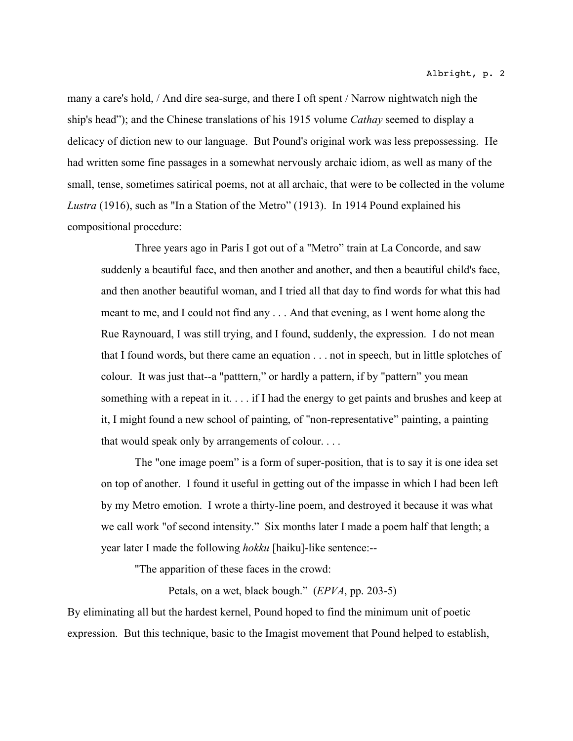many a care's hold, / And dire sea-surge, and there I oft spent / Narrow nightwatch nigh the ship's head"); and the Chinese translations of his 1915 volume *Cathay* seemed to display a delicacy of diction new to our language. But Pound's original work was less prepossessing. He had written some fine passages in a somewhat nervously archaic idiom, as well as many of the small, tense, sometimes satirical poems, not at all archaic, that were to be collected in the volume *Lustra* (1916), such as "In a Station of the Metro" (1913). In 1914 Pound explained his compositional procedure:

Three years ago in Paris I got out of a "Metro" train at La Concorde, and saw suddenly a beautiful face, and then another and another, and then a beautiful child's face, and then another beautiful woman, and I tried all that day to find words for what this had meant to me, and I could not find any . . . And that evening, as I went home along the Rue Raynouard, I was still trying, and I found, suddenly, the expression. I do not mean that I found words, but there came an equation . . . not in speech, but in little splotches of colour. It was just that--a "patttern," or hardly a pattern, if by "pattern" you mean something with a repeat in it. . . . if I had the energy to get paints and brushes and keep at it, I might found a new school of painting, of "non-representative" painting, a painting that would speak only by arrangements of colour. . . .

The "one image poem" is a form of super-position, that is to say it is one idea set on top of another. I found it useful in getting out of the impasse in which I had been left by my Metro emotion. I wrote a thirty-line poem, and destroyed it because it was what we call work "of second intensity." Six months later I made a poem half that length; a year later I made the following *hokku* [haiku]-like sentence:--

"The apparition of these faces in the crowd:

# Petals, on a wet, black bough." (*EPVA*, pp. 203-5)

By eliminating all but the hardest kernel, Pound hoped to find the minimum unit of poetic expression. But this technique, basic to the Imagist movement that Pound helped to establish,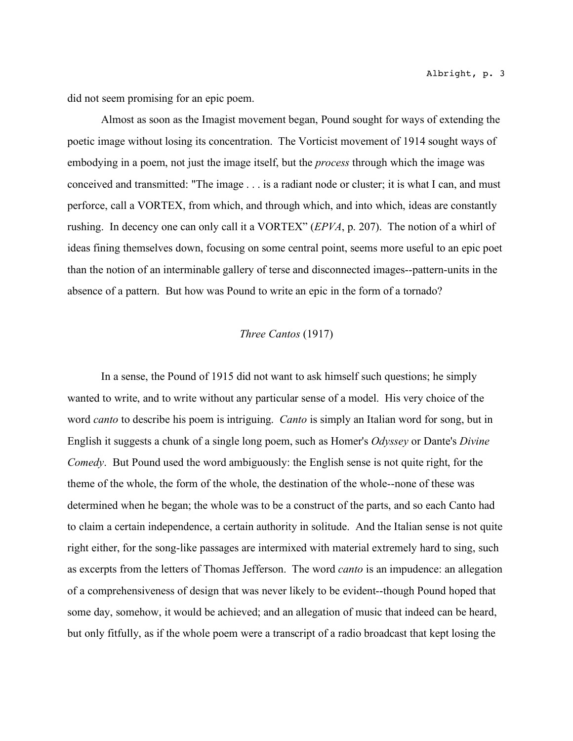Albright, p. 3

did not seem promising for an epic poem.

Almost as soon as the Imagist movement began, Pound sought for ways of extending the poetic image without losing its concentration. The Vorticist movement of 1914 sought ways of embodying in a poem, not just the image itself, but the *process* through which the image was conceived and transmitted: "The image . . . is a radiant node or cluster; it is what I can, and must perforce, call a VORTEX, from which, and through which, and into which, ideas are constantly rushing. In decency one can only call it a VORTEX" (*EPVA*, p. 207). The notion of a whirl of ideas fining themselves down, focusing on some central point, seems more useful to an epic poet than the notion of an interminable gallery of terse and disconnected images--pattern-units in the absence of a pattern. But how was Pound to write an epic in the form of a tornado?

#### *Three Cantos* (1917)

In a sense, the Pound of 1915 did not want to ask himself such questions; he simply wanted to write, and to write without any particular sense of a model. His very choice of the word *canto* to describe his poem is intriguing. *Canto* is simply an Italian word for song, but in English it suggests a chunk of a single long poem, such as Homer's *Odyssey* or Dante's *Divine Comedy*. But Pound used the word ambiguously: the English sense is not quite right, for the theme of the whole, the form of the whole, the destination of the whole--none of these was determined when he began; the whole was to be a construct of the parts, and so each Canto had to claim a certain independence, a certain authority in solitude. And the Italian sense is not quite right either, for the song-like passages are intermixed with material extremely hard to sing, such as excerpts from the letters of Thomas Jefferson. The word *canto* is an impudence: an allegation of a comprehensiveness of design that was never likely to be evident--though Pound hoped that some day, somehow, it would be achieved; and an allegation of music that indeed can be heard, but only fitfully, as if the whole poem were a transcript of a radio broadcast that kept losing the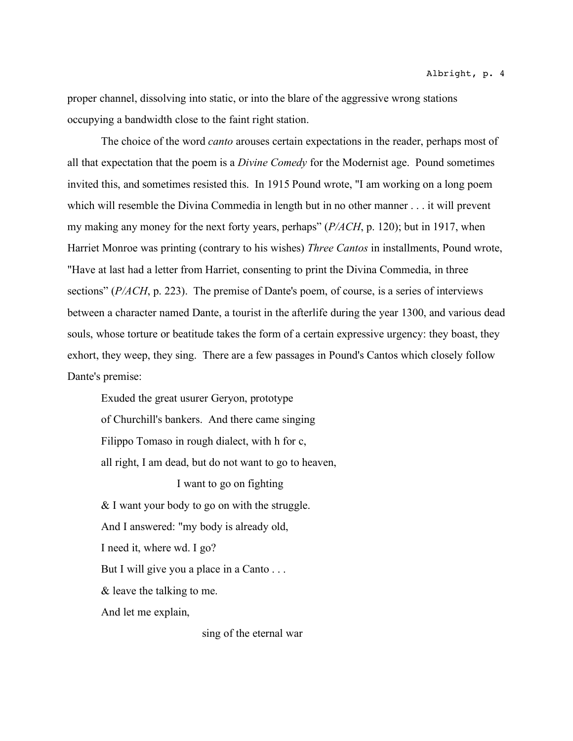proper channel, dissolving into static, or into the blare of the aggressive wrong stations occupying a bandwidth close to the faint right station.

The choice of the word *canto* arouses certain expectations in the reader, perhaps most of all that expectation that the poem is a *Divine Comedy* for the Modernist age. Pound sometimes invited this, and sometimes resisted this. In 1915 Pound wrote, "I am working on a long poem which will resemble the Divina Commedia in length but in no other manner . . . it will prevent my making any money for the next forty years, perhaps" (*P/ACH*, p. 120); but in 1917, when Harriet Monroe was printing (contrary to his wishes) *Three Cantos* in installments, Pound wrote, "Have at last had a letter from Harriet, consenting to print the Divina Commedia, in three sections" (*P/ACH*, p. 223). The premise of Dante's poem, of course, is a series of interviews between a character named Dante, a tourist in the afterlife during the year 1300, and various dead souls, whose torture or beatitude takes the form of a certain expressive urgency: they boast, they exhort, they weep, they sing. There are a few passages in Pound's Cantos which closely follow Dante's premise:

Exuded the great usurer Geryon, prototype of Churchill's bankers. And there came singing Filippo Tomaso in rough dialect, with h for c, all right, I am dead, but do not want to go to heaven, I want to go on fighting & I want your body to go on with the struggle. And I answered: "my body is already old, I need it, where wd. I go? But I will give you a place in a Canto ... & leave the talking to me. And let me explain, sing of the eternal war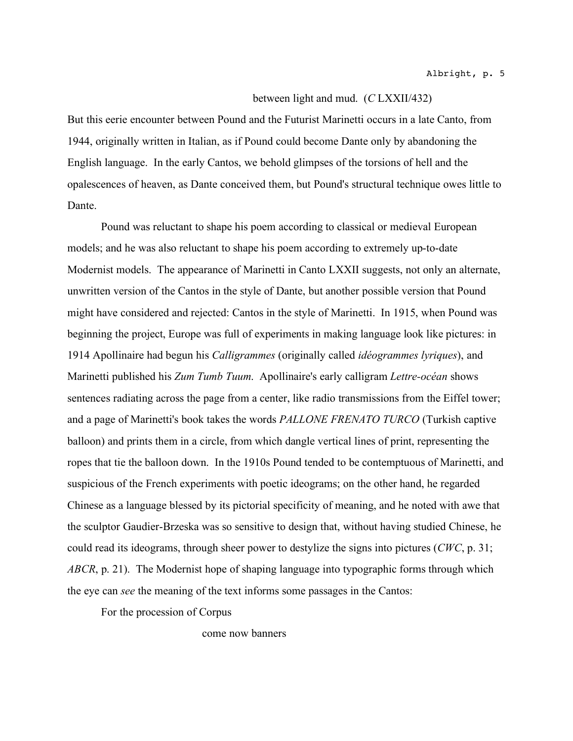#### between light and mud. (*C* LXXII/432)

But this eerie encounter between Pound and the Futurist Marinetti occurs in a late Canto, from 1944, originally written in Italian, as if Pound could become Dante only by abandoning the English language. In the early Cantos, we behold glimpses of the torsions of hell and the opalescences of heaven, as Dante conceived them, but Pound's structural technique owes little to Dante.

Pound was reluctant to shape his poem according to classical or medieval European models; and he was also reluctant to shape his poem according to extremely up-to-date Modernist models. The appearance of Marinetti in Canto LXXII suggests, not only an alternate, unwritten version of the Cantos in the style of Dante, but another possible version that Pound might have considered and rejected: Cantos in the style of Marinetti. In 1915, when Pound was beginning the project, Europe was full of experiments in making language look like pictures: in 1914 Apollinaire had begun his *Calligrammes* (originally called *idéogrammes lyriques*), and Marinetti published his *Zum Tumb Tuum*. Apollinaire's early calligram *Lettre-océan* shows sentences radiating across the page from a center, like radio transmissions from the Eiffel tower; and a page of Marinetti's book takes the words *PALLONE FRENATO TURCO* (Turkish captive balloon) and prints them in a circle, from which dangle vertical lines of print, representing the ropes that tie the balloon down. In the 1910s Pound tended to be contemptuous of Marinetti, and suspicious of the French experiments with poetic ideograms; on the other hand, he regarded Chinese as a language blessed by its pictorial specificity of meaning, and he noted with awe that the sculptor Gaudier-Brzeska was so sensitive to design that, without having studied Chinese, he could read its ideograms, through sheer power to destylize the signs into pictures (*CWC*, p. 31; *ABCR*, p. 21). The Modernist hope of shaping language into typographic forms through which the eye can *see* the meaning of the text informs some passages in the Cantos:

For the procession of Corpus

come now banners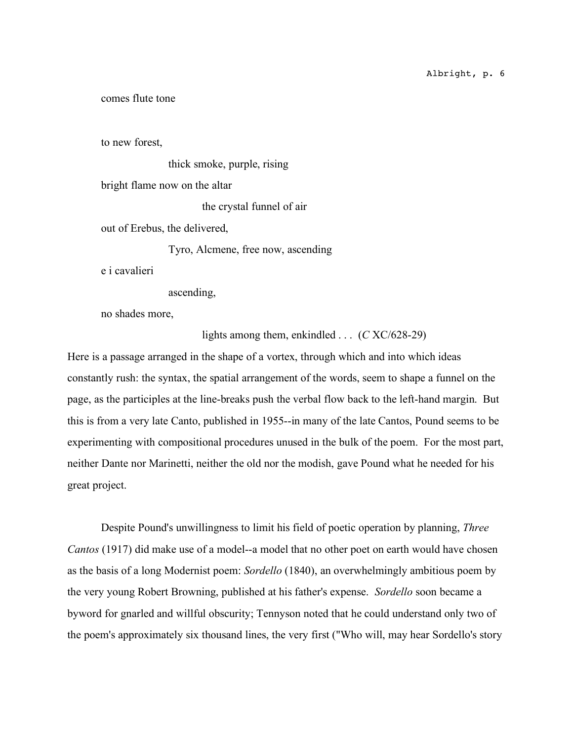comes flute tone

to new forest,

thick smoke, purple, rising

bright flame now on the altar

the crystal funnel of air

out of Erebus, the delivered,

Tyro, Alcmene, free now, ascending

e i cavalieri

ascending,

no shades more,

lights among them, enkindled . . . (*C* XC/628-29)

Here is a passage arranged in the shape of a vortex, through which and into which ideas constantly rush: the syntax, the spatial arrangement of the words, seem to shape a funnel on the page, as the participles at the line-breaks push the verbal flow back to the left-hand margin. But this is from a very late Canto, published in 1955--in many of the late Cantos, Pound seems to be experimenting with compositional procedures unused in the bulk of the poem. For the most part, neither Dante nor Marinetti, neither the old nor the modish, gave Pound what he needed for his great project.

Despite Pound's unwillingness to limit his field of poetic operation by planning, *Three Cantos* (1917) did make use of a model--a model that no other poet on earth would have chosen as the basis of a long Modernist poem: *Sordello* (1840), an overwhelmingly ambitious poem by the very young Robert Browning, published at his father's expense. *Sordello* soon became a byword for gnarled and willful obscurity; Tennyson noted that he could understand only two of the poem's approximately six thousand lines, the very first ("Who will, may hear Sordello's story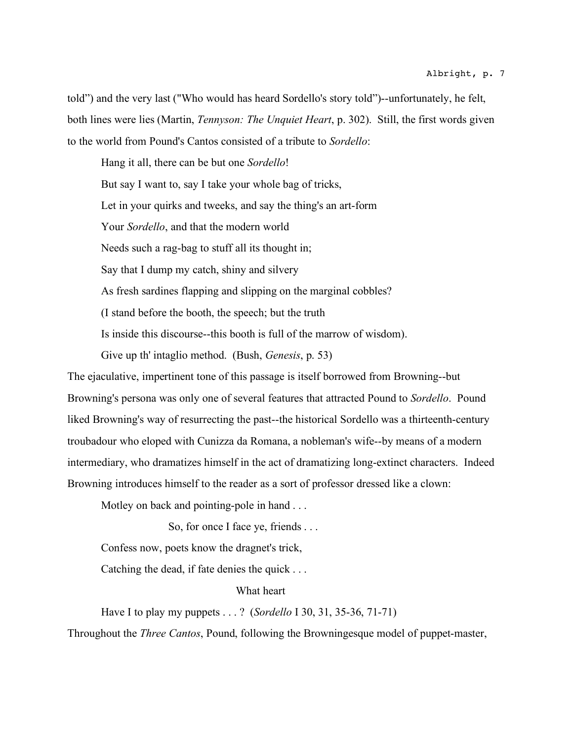told") and the very last ("Who would has heard Sordello's story told")--unfortunately, he felt, both lines were lies (Martin, *Tennyson: The Unquiet Heart*, p. 302). Still, the first words given to the world from Pound's Cantos consisted of a tribute to *Sordello*:

Hang it all, there can be but one *Sordello*! But say I want to, say I take your whole bag of tricks, Let in your quirks and tweeks, and say the thing's an art-form Your *Sordello*, and that the modern world Needs such a rag-bag to stuff all its thought in; Say that I dump my catch, shiny and silvery As fresh sardines flapping and slipping on the marginal cobbles? (I stand before the booth, the speech; but the truth Is inside this discourse--this booth is full of the marrow of wisdom). Give up th' intaglio method. (Bush, *Genesis*, p. 53)

The ejaculative, impertinent tone of this passage is itself borrowed from Browning--but Browning's persona was only one of several features that attracted Pound to *Sordello*. Pound liked Browning's way of resurrecting the past--the historical Sordello was a thirteenth-century troubadour who eloped with Cunizza da Romana, a nobleman's wife--by means of a modern intermediary, who dramatizes himself in the act of dramatizing long-extinct characters. Indeed Browning introduces himself to the reader as a sort of professor dressed like a clown:

Motley on back and pointing-pole in hand . . .

So, for once I face ye, friends . . .

Confess now, poets know the dragnet's trick,

Catching the dead, if fate denies the quick . . .

What heart

Have I to play my puppets . . . ? (*Sordello* I 30, 31, 35-36, 71-71)

Throughout the *Three Cantos*, Pound, following the Browningesque model of puppet-master,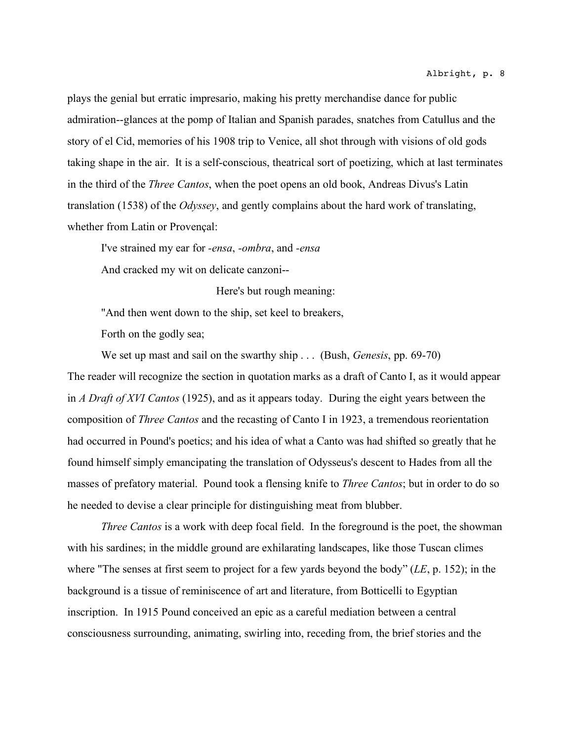plays the genial but erratic impresario, making his pretty merchandise dance for public admiration--glances at the pomp of Italian and Spanish parades, snatches from Catullus and the story of el Cid, memories of his 1908 trip to Venice, all shot through with visions of old gods taking shape in the air. It is a self-conscious, theatrical sort of poetizing, which at last terminates in the third of the *Three Cantos*, when the poet opens an old book, Andreas Divus's Latin translation (1538) of the *Odyssey*, and gently complains about the hard work of translating, whether from Latin or Provençal:

I've strained my ear for *-ensa*, *-ombra*, and *-ensa* And cracked my wit on delicate canzoni--

Here's but rough meaning:

"And then went down to the ship, set keel to breakers,

Forth on the godly sea;

We set up mast and sail on the swarthy ship . . . (Bush, *Genesis*, pp. 69-70) The reader will recognize the section in quotation marks as a draft of Canto I, as it would appear in *A Draft of XVI Cantos* (1925), and as it appears today. During the eight years between the composition of *Three Cantos* and the recasting of Canto I in 1923, a tremendous reorientation had occurred in Pound's poetics; and his idea of what a Canto was had shifted so greatly that he found himself simply emancipating the translation of Odysseus's descent to Hades from all the masses of prefatory material. Pound took a flensing knife to *Three Cantos*; but in order to do so he needed to devise a clear principle for distinguishing meat from blubber.

*Three Cantos* is a work with deep focal field. In the foreground is the poet, the showman with his sardines; in the middle ground are exhilarating landscapes, like those Tuscan climes where "The senses at first seem to project for a few yards beyond the body" (*LE*, p. 152); in the background is a tissue of reminiscence of art and literature, from Botticelli to Egyptian inscription. In 1915 Pound conceived an epic as a careful mediation between a central consciousness surrounding, animating, swirling into, receding from, the brief stories and the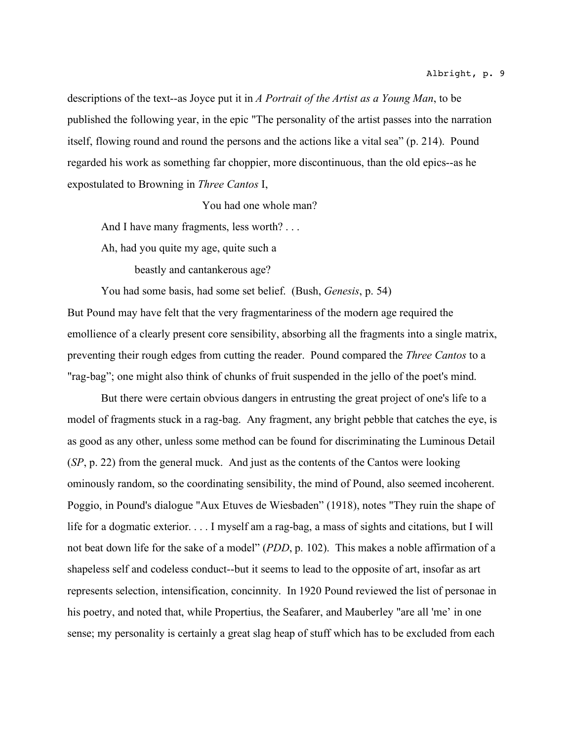descriptions of the text--as Joyce put it in *A Portrait of the Artist as a Young Man*, to be published the following year, in the epic "The personality of the artist passes into the narration itself, flowing round and round the persons and the actions like a vital sea" (p. 214). Pound regarded his work as something far choppier, more discontinuous, than the old epics--as he expostulated to Browning in *Three Cantos* I,

You had one whole man?

And I have many fragments, less worth? . . .

Ah, had you quite my age, quite such a

beastly and cantankerous age?

You had some basis, had some set belief. (Bush, *Genesis*, p. 54)

But Pound may have felt that the very fragmentariness of the modern age required the emollience of a clearly present core sensibility, absorbing all the fragments into a single matrix, preventing their rough edges from cutting the reader. Pound compared the *Three Cantos* to a "rag-bag"; one might also think of chunks of fruit suspended in the jello of the poet's mind.

But there were certain obvious dangers in entrusting the great project of one's life to a model of fragments stuck in a rag-bag. Any fragment, any bright pebble that catches the eye, is as good as any other, unless some method can be found for discriminating the Luminous Detail (*SP*, p. 22) from the general muck. And just as the contents of the Cantos were looking ominously random, so the coordinating sensibility, the mind of Pound, also seemed incoherent. Poggio, in Pound's dialogue "Aux Etuves de Wiesbaden" (1918), notes "They ruin the shape of life for a dogmatic exterior. . . . I myself am a rag-bag, a mass of sights and citations, but I will not beat down life for the sake of a model" (*PDD*, p. 102). This makes a noble affirmation of a shapeless self and codeless conduct--but it seems to lead to the opposite of art, insofar as art represents selection, intensification, concinnity. In 1920 Pound reviewed the list of personae in his poetry, and noted that, while Propertius, the Seafarer, and Mauberley "are all 'me' in one sense; my personality is certainly a great slag heap of stuff which has to be excluded from each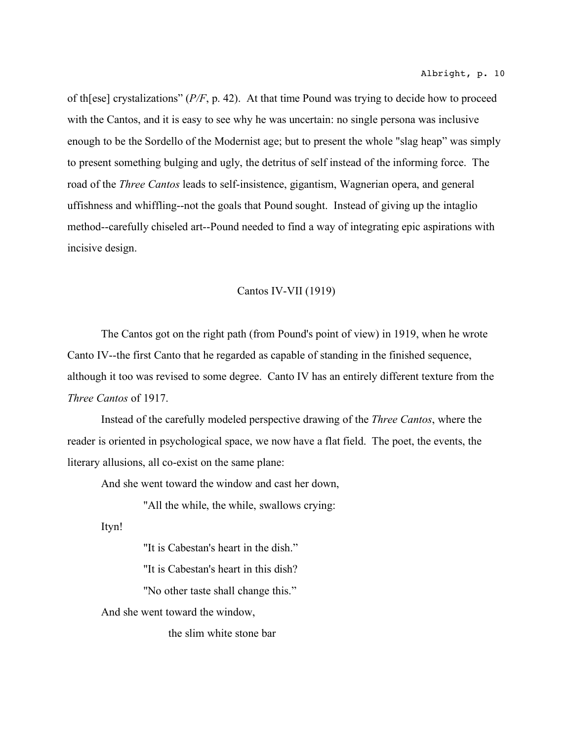of th[ese] crystalizations" (*P/F*, p. 42). At that time Pound was trying to decide how to proceed with the Cantos, and it is easy to see why he was uncertain: no single persona was inclusive enough to be the Sordello of the Modernist age; but to present the whole "slag heap" was simply to present something bulging and ugly, the detritus of self instead of the informing force. The road of the *Three Cantos* leads to self-insistence, gigantism, Wagnerian opera, and general uffishness and whiffling--not the goals that Pound sought. Instead of giving up the intaglio method--carefully chiseled art--Pound needed to find a way of integrating epic aspirations with incisive design.

# Cantos IV-VII (1919)

The Cantos got on the right path (from Pound's point of view) in 1919, when he wrote Canto IV--the first Canto that he regarded as capable of standing in the finished sequence, although it too was revised to some degree. Canto IV has an entirely different texture from the *Three Cantos* of 1917.

Instead of the carefully modeled perspective drawing of the *Three Cantos*, where the reader is oriented in psychological space, we now have a flat field. The poet, the events, the literary allusions, all co-exist on the same plane:

And she went toward the window and cast her down,

"All the while, the while, swallows crying:

Ityn!

"It is Cabestan's heart in the dish."

"It is Cabestan's heart in this dish?

"No other taste shall change this."

And she went toward the window,

the slim white stone bar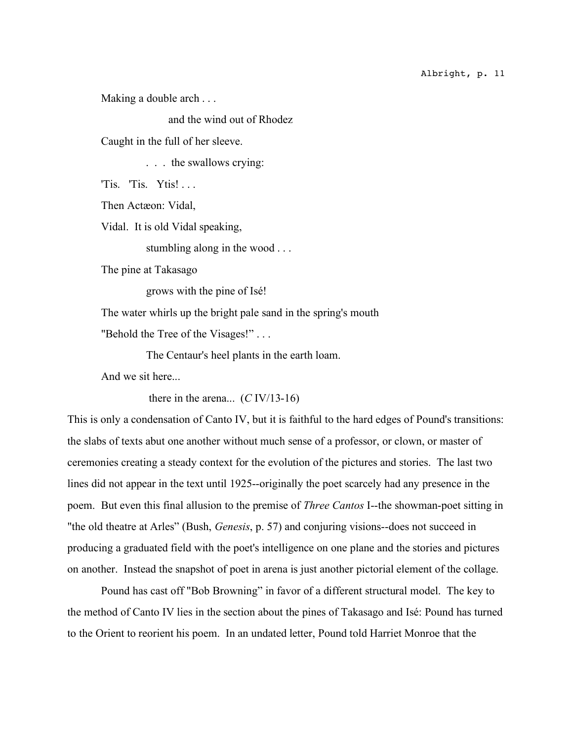Making a double arch . . .

and the wind out of Rhodez

Caught in the full of her sleeve.

. . . the swallows crying:

'Tis. 'Tis. Ytis! . . .

Then Actæon: Vidal,

Vidal. It is old Vidal speaking,

stumbling along in the wood . . .

The pine at Takasago

grows with the pine of Isé!

The water whirls up the bright pale sand in the spring's mouth

"Behold the Tree of the Visages!" . . .

The Centaur's heel plants in the earth loam.

And we sit here...

there in the arena...  $(C IV/13-16)$ 

This is only a condensation of Canto IV, but it is faithful to the hard edges of Pound's transitions: the slabs of texts abut one another without much sense of a professor, or clown, or master of ceremonies creating a steady context for the evolution of the pictures and stories. The last two lines did not appear in the text until 1925--originally the poet scarcely had any presence in the poem. But even this final allusion to the premise of *Three Cantos* I--the showman-poet sitting in "the old theatre at Arles" (Bush, *Genesis*, p. 57) and conjuring visions--does not succeed in producing a graduated field with the poet's intelligence on one plane and the stories and pictures on another. Instead the snapshot of poet in arena is just another pictorial element of the collage.

Pound has cast off "Bob Browning" in favor of a different structural model. The key to the method of Canto IV lies in the section about the pines of Takasago and Isé: Pound has turned to the Orient to reorient his poem. In an undated letter, Pound told Harriet Monroe that the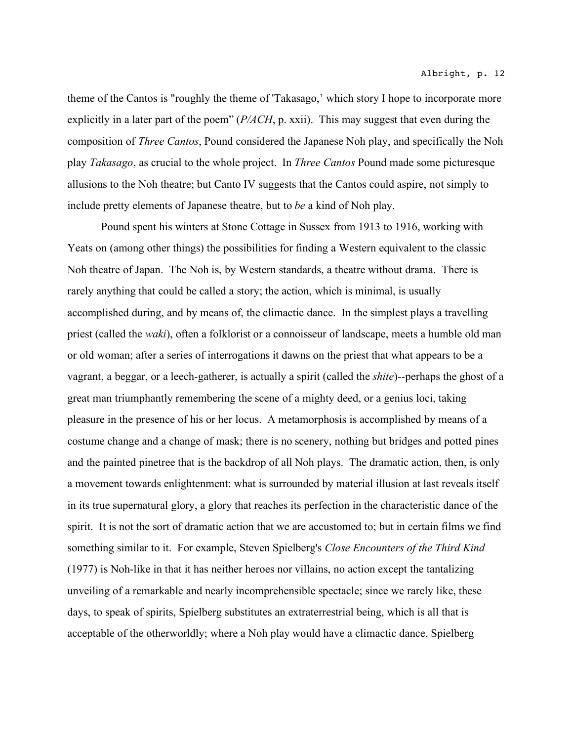theme of the Cantos is "roughly the theme of 'Takasago,' which story I hope to incorporate more explicitly in a later part of the poem" (*P/ACH*, p. xxii). This may suggest that even during the composition of *Three Cantos*, Pound considered the Japanese Noh play, and specifically the Noh play *Takasago*, as crucial to the whole project. In *Three Cantos* Pound made some picturesque allusions to the Noh theatre; but Canto IV suggests that the Cantos could aspire, not simply to include pretty elements of Japanese theatre, but to *be* a kind of Noh play.

Pound spent his winters at Stone Cottage in Sussex from 1913 to 1916, working with Yeats on (among other things) the possibilities for finding a Western equivalent to the classic Noh theatre of Japan. The Noh is, by Western standards, a theatre without drama. There is rarely anything that could be called a story; the action, which is minimal, is usually accomplished during, and by means of, the climactic dance. In the simplest plays a travelling priest (called the *waki*), often a folklorist or a connoisseur of landscape, meets a humble old man or old woman; after a series of interrogations it dawns on the priest that what appears to be a vagrant, a beggar, or a leech-gatherer, is actually a spirit (called the *shite*)--perhaps the ghost of a great man triumphantly remembering the scene of a mighty deed, or a genius loci, taking pleasure in the presence of his or her locus. A metamorphosis is accomplished by means of a costume change and a change of mask; there is no scenery, nothing but bridges and potted pines and the painted pinetree that is the backdrop of all Noh plays. The dramatic action, then, is only a movement towards enlightenment: what is surrounded by material illusion at last reveals itself in its true supernatural glory, a glory that reaches its perfection in the characteristic dance of the spirit. It is not the sort of dramatic action that we are accustomed to; but in certain films we find something similar to it. For example, Steven Spielberg's *Close Encounters of the Third Kind* (1977) is Noh-like in that it has neither heroes nor villains, no action except the tantalizing unveiling of a remarkable and nearly incomprehensible spectacle; since we rarely like, these days, to speak of spirits, Spielberg substitutes an extraterrestrial being, which is all that is acceptable of the otherworldly; where a Noh play would have a climactic dance, Spielberg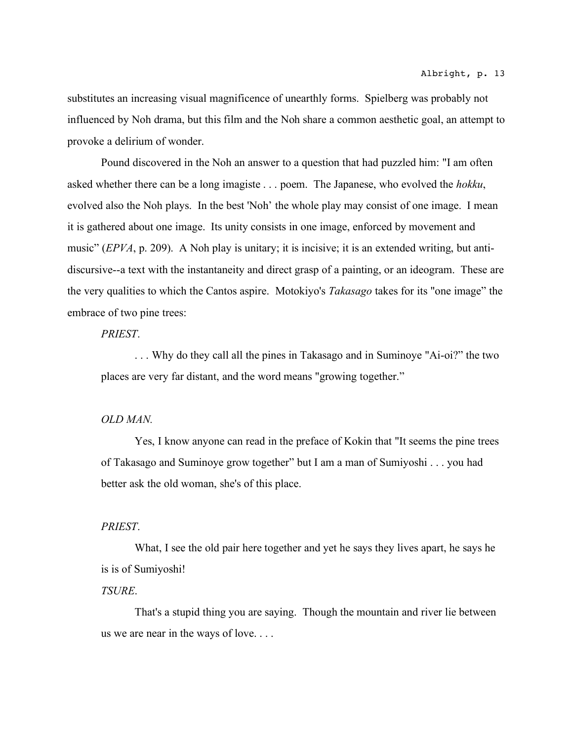Albright, p. 13

substitutes an increasing visual magnificence of unearthly forms. Spielberg was probably not influenced by Noh drama, but this film and the Noh share a common aesthetic goal, an attempt to provoke a delirium of wonder.

Pound discovered in the Noh an answer to a question that had puzzled him: "I am often asked whether there can be a long imagiste . . . poem. The Japanese, who evolved the *hokku*, evolved also the Noh plays. In the best 'Noh' the whole play may consist of one image. I mean it is gathered about one image. Its unity consists in one image, enforced by movement and music" (*EPVA*, p. 209). A Noh play is unitary; it is incisive; it is an extended writing, but antidiscursive--a text with the instantaneity and direct grasp of a painting, or an ideogram. These are the very qualities to which the Cantos aspire. Motokiyo's *Takasago* takes for its "one image" the embrace of two pine trees:

*PRIEST*.

. . . Why do they call all the pines in Takasago and in Suminoye "Ai-oi?" the two places are very far distant, and the word means "growing together."

## *OLD MAN.*

Yes, I know anyone can read in the preface of Kokin that "It seems the pine trees of Takasago and Suminoye grow together" but I am a man of Sumiyoshi . . . you had better ask the old woman, she's of this place.

#### *PRIEST*.

What, I see the old pair here together and yet he says they lives apart, he says he is is of Sumiyoshi!

# *TSURE*.

That's a stupid thing you are saying. Though the mountain and river lie between us we are near in the ways of love. . . .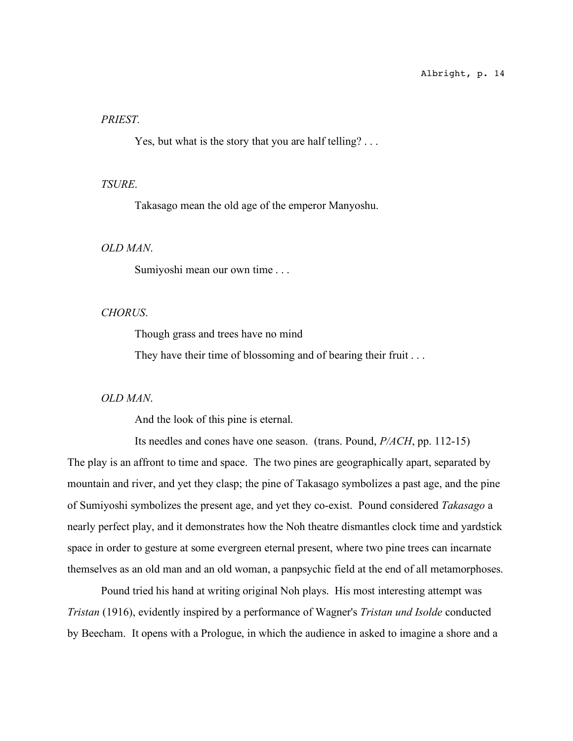#### *PRIEST.*

Yes, but what is the story that you are half telling? . . .

#### *TSURE*.

Takasago mean the old age of the emperor Manyoshu.

#### *OLD MAN*.

Sumiyoshi mean our own time . . .

#### *CHORUS*.

Though grass and trees have no mind They have their time of blossoming and of bearing their fruit . . .

#### *OLD MAN*.

And the look of this pine is eternal.

Its needles and cones have one season. (trans. Pound, *P/ACH*, pp. 112-15) The play is an affront to time and space. The two pines are geographically apart, separated by mountain and river, and yet they clasp; the pine of Takasago symbolizes a past age, and the pine of Sumiyoshi symbolizes the present age, and yet they co-exist. Pound considered *Takasago* a nearly perfect play, and it demonstrates how the Noh theatre dismantles clock time and yardstick space in order to gesture at some evergreen eternal present, where two pine trees can incarnate themselves as an old man and an old woman, a panpsychic field at the end of all metamorphoses.

Pound tried his hand at writing original Noh plays. His most interesting attempt was *Tristan* (1916), evidently inspired by a performance of Wagner's *Tristan und Isolde* conducted by Beecham. It opens with a Prologue, in which the audience in asked to imagine a shore and a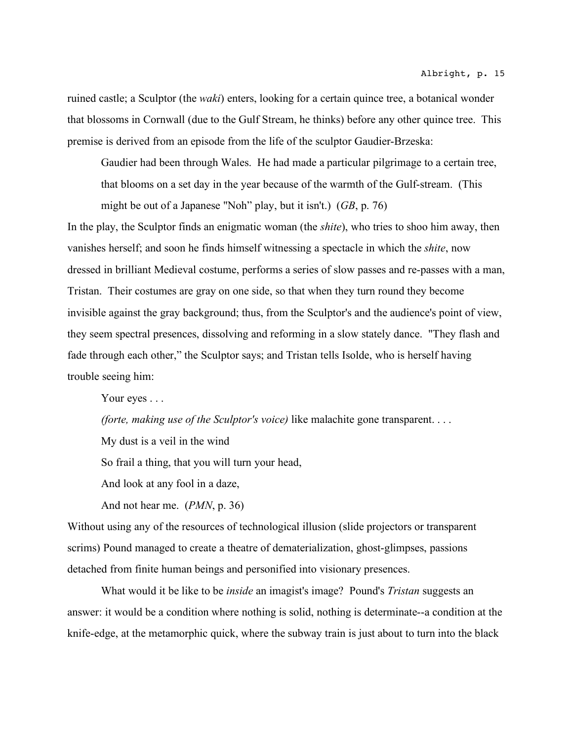ruined castle; a Sculptor (the *waki*) enters, looking for a certain quince tree, a botanical wonder that blossoms in Cornwall (due to the Gulf Stream, he thinks) before any other quince tree. This premise is derived from an episode from the life of the sculptor Gaudier-Brzeska:

Gaudier had been through Wales. He had made a particular pilgrimage to a certain tree, that blooms on a set day in the year because of the warmth of the Gulf-stream. (This might be out of a Japanese "Noh" play, but it isn't.) (*GB*, p. 76)

In the play, the Sculptor finds an enigmatic woman (the *shite*), who tries to shoo him away, then vanishes herself; and soon he finds himself witnessing a spectacle in which the *shite*, now dressed in brilliant Medieval costume, performs a series of slow passes and re-passes with a man, Tristan. Their costumes are gray on one side, so that when they turn round they become invisible against the gray background; thus, from the Sculptor's and the audience's point of view, they seem spectral presences, dissolving and reforming in a slow stately dance. "They flash and fade through each other," the Sculptor says; and Tristan tells Isolde, who is herself having trouble seeing him:

Your eyes . . .

*(forte, making use of the Sculptor's voice)* like malachite gone transparent. . . .

My dust is a veil in the wind

So frail a thing, that you will turn your head,

And look at any fool in a daze,

And not hear me. (*PMN*, p. 36)

Without using any of the resources of technological illusion (slide projectors or transparent scrims) Pound managed to create a theatre of dematerialization, ghost-glimpses, passions detached from finite human beings and personified into visionary presences.

What would it be like to be *inside* an imagist's image? Pound's *Tristan* suggests an answer: it would be a condition where nothing is solid, nothing is determinate--a condition at the knife-edge, at the metamorphic quick, where the subway train is just about to turn into the black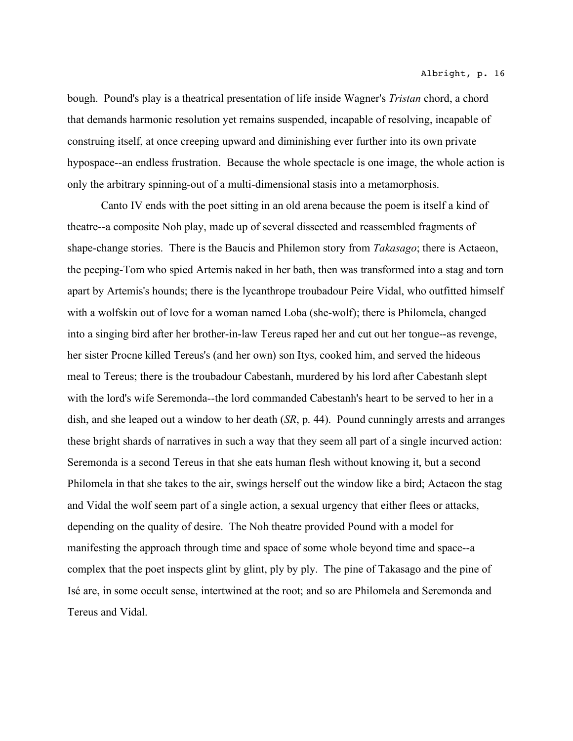bough. Pound's play is a theatrical presentation of life inside Wagner's *Tristan* chord, a chord that demands harmonic resolution yet remains suspended, incapable of resolving, incapable of construing itself, at once creeping upward and diminishing ever further into its own private hypospace--an endless frustration. Because the whole spectacle is one image, the whole action is only the arbitrary spinning-out of a multi-dimensional stasis into a metamorphosis.

Canto IV ends with the poet sitting in an old arena because the poem is itself a kind of theatre--a composite Noh play, made up of several dissected and reassembled fragments of shape-change stories. There is the Baucis and Philemon story from *Takasago*; there is Actaeon, the peeping-Tom who spied Artemis naked in her bath, then was transformed into a stag and torn apart by Artemis's hounds; there is the lycanthrope troubadour Peire Vidal, who outfitted himself with a wolfskin out of love for a woman named Loba (she-wolf); there is Philomela, changed into a singing bird after her brother-in-law Tereus raped her and cut out her tongue--as revenge, her sister Procne killed Tereus's (and her own) son Itys, cooked him, and served the hideous meal to Tereus; there is the troubadour Cabestanh, murdered by his lord after Cabestanh slept with the lord's wife Seremonda--the lord commanded Cabestanh's heart to be served to her in a dish, and she leaped out a window to her death (*SR*, p. 44). Pound cunningly arrests and arranges these bright shards of narratives in such a way that they seem all part of a single incurved action: Seremonda is a second Tereus in that she eats human flesh without knowing it, but a second Philomela in that she takes to the air, swings herself out the window like a bird; Actaeon the stag and Vidal the wolf seem part of a single action, a sexual urgency that either flees or attacks, depending on the quality of desire. The Noh theatre provided Pound with a model for manifesting the approach through time and space of some whole beyond time and space--a complex that the poet inspects glint by glint, ply by ply. The pine of Takasago and the pine of Isé are, in some occult sense, intertwined at the root; and so are Philomela and Seremonda and Tereus and Vidal.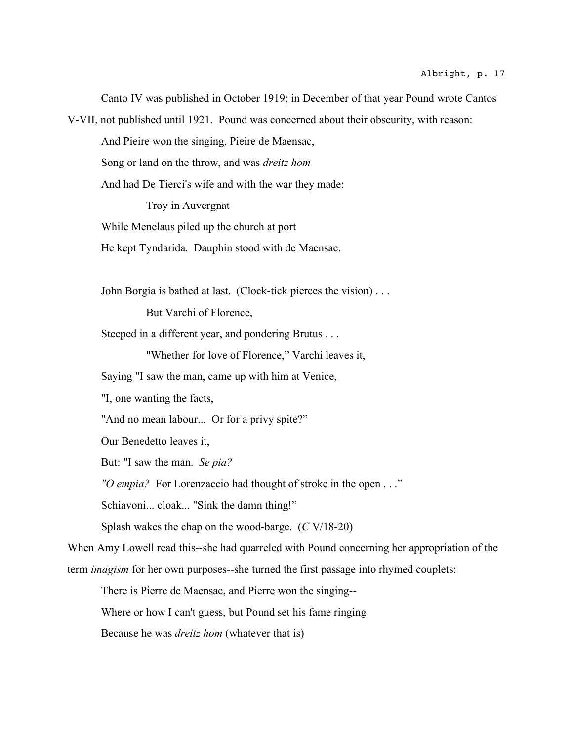Canto IV was published in October 1919; in December of that year Pound wrote Cantos

V-VII, not published until 1921. Pound was concerned about their obscurity, with reason:

And Pieire won the singing, Pieire de Maensac,

Song or land on the throw, and was *dreitz hom*

And had De Tierci's wife and with the war they made:

Troy in Auvergnat

While Menelaus piled up the church at port

He kept Tyndarida. Dauphin stood with de Maensac.

John Borgia is bathed at last. (Clock-tick pierces the vision) . . .

But Varchi of Florence,

Steeped in a different year, and pondering Brutus . . .

"Whether for love of Florence," Varchi leaves it,

Saying "I saw the man, came up with him at Venice,

"I, one wanting the facts,

"And no mean labour... Or for a privy spite?"

Our Benedetto leaves it,

But: "I saw the man. *Se pia?*

*"O empia?* For Lorenzaccio had thought of stroke in the open . . ."

Schiavoni... cloak... "Sink the damn thing!"

Splash wakes the chap on the wood-barge. (*C* V/18-20)

When Amy Lowell read this--she had quarreled with Pound concerning her appropriation of the

term *imagism* for her own purposes--she turned the first passage into rhymed couplets:

There is Pierre de Maensac, and Pierre won the singing--

Where or how I can't guess, but Pound set his fame ringing

Because he was *dreitz hom* (whatever that is)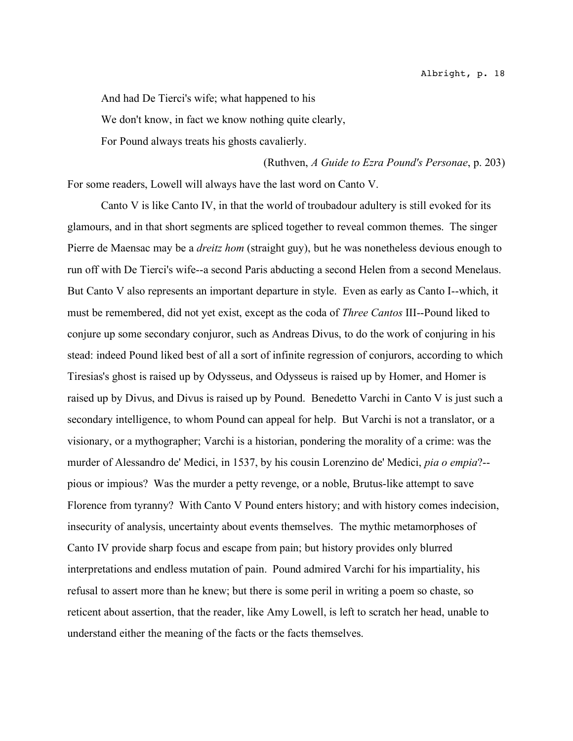And had De Tierci's wife; what happened to his We don't know, in fact we know nothing quite clearly, For Pound always treats his ghosts cavalierly.

(Ruthven, *A Guide to Ezra Pound's Personae*, p. 203)

For some readers, Lowell will always have the last word on Canto V.

Canto V is like Canto IV, in that the world of troubadour adultery is still evoked for its glamours, and in that short segments are spliced together to reveal common themes. The singer Pierre de Maensac may be a *dreitz hom* (straight guy), but he was nonetheless devious enough to run off with De Tierci's wife--a second Paris abducting a second Helen from a second Menelaus. But Canto V also represents an important departure in style. Even as early as Canto I--which, it must be remembered, did not yet exist, except as the coda of *Three Cantos* III--Pound liked to conjure up some secondary conjuror, such as Andreas Divus, to do the work of conjuring in his stead: indeed Pound liked best of all a sort of infinite regression of conjurors, according to which Tiresias's ghost is raised up by Odysseus, and Odysseus is raised up by Homer, and Homer is raised up by Divus, and Divus is raised up by Pound. Benedetto Varchi in Canto V is just such a secondary intelligence, to whom Pound can appeal for help. But Varchi is not a translator, or a visionary, or a mythographer; Varchi is a historian, pondering the morality of a crime: was the murder of Alessandro de' Medici, in 1537, by his cousin Lorenzino de' Medici, *pia o empia*?- pious or impious? Was the murder a petty revenge, or a noble, Brutus-like attempt to save Florence from tyranny? With Canto V Pound enters history; and with history comes indecision, insecurity of analysis, uncertainty about events themselves. The mythic metamorphoses of Canto IV provide sharp focus and escape from pain; but history provides only blurred interpretations and endless mutation of pain. Pound admired Varchi for his impartiality, his refusal to assert more than he knew; but there is some peril in writing a poem so chaste, so reticent about assertion, that the reader, like Amy Lowell, is left to scratch her head, unable to understand either the meaning of the facts or the facts themselves.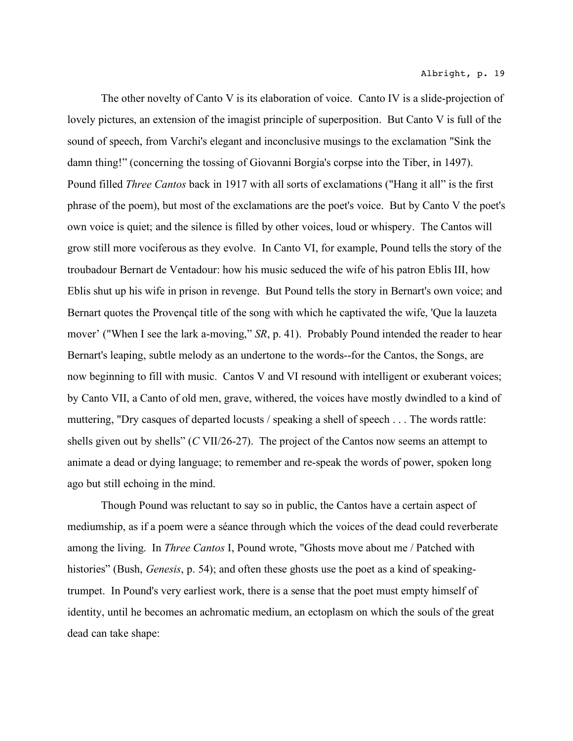The other novelty of Canto V is its elaboration of voice. Canto IV is a slide-projection of lovely pictures, an extension of the imagist principle of superposition. But Canto V is full of the sound of speech, from Varchi's elegant and inconclusive musings to the exclamation "Sink the damn thing!" (concerning the tossing of Giovanni Borgia's corpse into the Tiber, in 1497). Pound filled *Three Cantos* back in 1917 with all sorts of exclamations ("Hang it all" is the first phrase of the poem), but most of the exclamations are the poet's voice. But by Canto V the poet's own voice is quiet; and the silence is filled by other voices, loud or whispery. The Cantos will grow still more vociferous as they evolve. In Canto VI, for example, Pound tells the story of the troubadour Bernart de Ventadour: how his music seduced the wife of his patron Eblis III, how Eblis shut up his wife in prison in revenge. But Pound tells the story in Bernart's own voice; and Bernart quotes the Provençal title of the song with which he captivated the wife, 'Que la lauzeta mover' ("When I see the lark a-moving," *SR*, p. 41). Probably Pound intended the reader to hear Bernart's leaping, subtle melody as an undertone to the words--for the Cantos, the Songs, are now beginning to fill with music. Cantos V and VI resound with intelligent or exuberant voices; by Canto VII, a Canto of old men, grave, withered, the voices have mostly dwindled to a kind of muttering, "Dry casques of departed locusts / speaking a shell of speech . . . The words rattle: shells given out by shells" (*C* VII/26-27). The project of the Cantos now seems an attempt to animate a dead or dying language; to remember and re-speak the words of power, spoken long ago but still echoing in the mind.

Though Pound was reluctant to say so in public, the Cantos have a certain aspect of mediumship, as if a poem were a séance through which the voices of the dead could reverberate among the living. In *Three Cantos* I, Pound wrote, "Ghosts move about me / Patched with histories" (Bush, *Genesis*, p. 54); and often these ghosts use the poet as a kind of speakingtrumpet. In Pound's very earliest work, there is a sense that the poet must empty himself of identity, until he becomes an achromatic medium, an ectoplasm on which the souls of the great dead can take shape: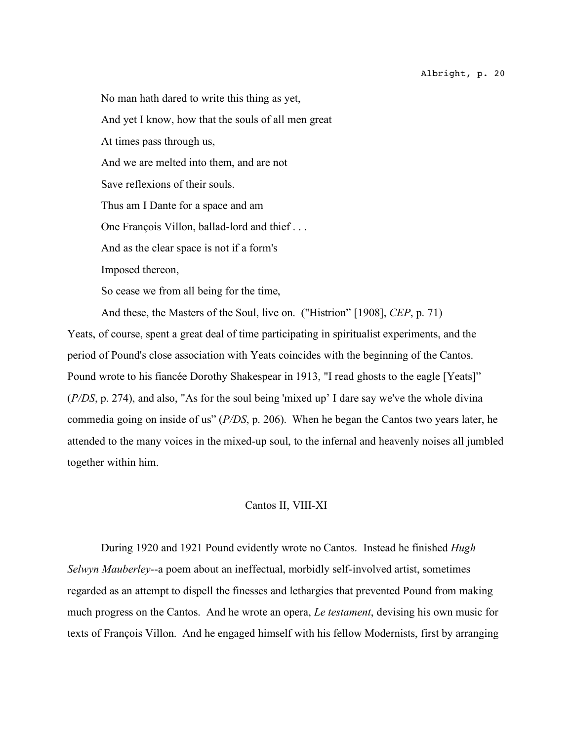No man hath dared to write this thing as yet, And yet I know, how that the souls of all men great At times pass through us, And we are melted into them, and are not Save reflexions of their souls. Thus am I Dante for a space and am One François Villon, ballad-lord and thief . . . And as the clear space is not if a form's Imposed thereon, So cease we from all being for the time, And these, the Masters of the Soul, live on. ("Histrion" [1908], *CEP*, p. 71)

Yeats, of course, spent a great deal of time participating in spiritualist experiments, and the period of Pound's close association with Yeats coincides with the beginning of the Cantos. Pound wrote to his fiancée Dorothy Shakespear in 1913, "I read ghosts to the eagle [Yeats]" (*P/DS*, p. 274), and also, "As for the soul being 'mixed up' I dare say we've the whole divina commedia going on inside of us" (*P/DS*, p. 206). When he began the Cantos two years later, he attended to the many voices in the mixed-up soul, to the infernal and heavenly noises all jumbled together within him.

#### Cantos II, VIII-XI

During 1920 and 1921 Pound evidently wrote no Cantos. Instead he finished *Hugh Selwyn Mauberley*--a poem about an ineffectual, morbidly self-involved artist, sometimes regarded as an attempt to dispell the finesses and lethargies that prevented Pound from making much progress on the Cantos. And he wrote an opera, *Le testament*, devising his own music for texts of François Villon. And he engaged himself with his fellow Modernists, first by arranging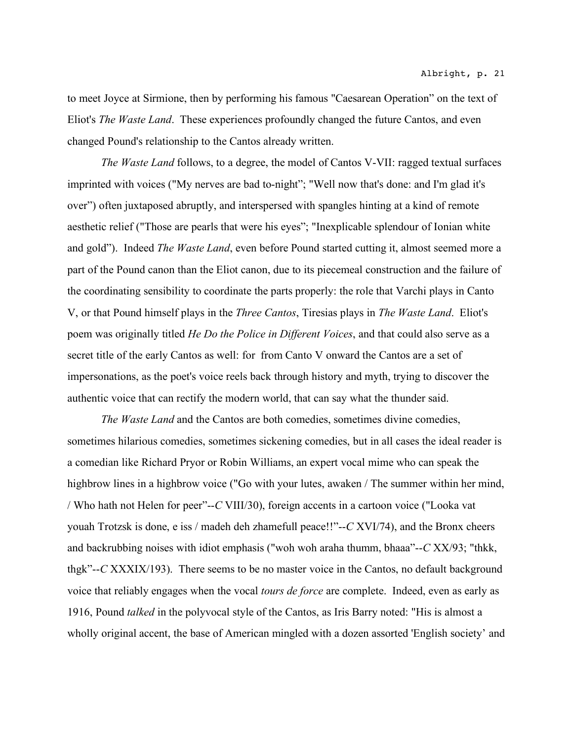to meet Joyce at Sirmione, then by performing his famous "Caesarean Operation" on the text of Eliot's *The Waste Land*. These experiences profoundly changed the future Cantos, and even changed Pound's relationship to the Cantos already written.

*The Waste Land* follows, to a degree, the model of Cantos V-VII: ragged textual surfaces imprinted with voices ("My nerves are bad to-night"; "Well now that's done: and I'm glad it's over") often juxtaposed abruptly, and interspersed with spangles hinting at a kind of remote aesthetic relief ("Those are pearls that were his eyes"; "Inexplicable splendour of Ionian white and gold"). Indeed *The Waste Land*, even before Pound started cutting it, almost seemed more a part of the Pound canon than the Eliot canon, due to its piecemeal construction and the failure of the coordinating sensibility to coordinate the parts properly: the role that Varchi plays in Canto V, or that Pound himself plays in the *Three Cantos*, Tiresias plays in *The Waste Land*. Eliot's poem was originally titled *He Do the Police in Different Voices*, and that could also serve as a secret title of the early Cantos as well: for from Canto V onward the Cantos are a set of impersonations, as the poet's voice reels back through history and myth, trying to discover the authentic voice that can rectify the modern world, that can say what the thunder said.

*The Waste Land* and the Cantos are both comedies, sometimes divine comedies, sometimes hilarious comedies, sometimes sickening comedies, but in all cases the ideal reader is a comedian like Richard Pryor or Robin Williams, an expert vocal mime who can speak the highbrow lines in a highbrow voice ("Go with your lutes, awaken / The summer within her mind, / Who hath not Helen for peer"--*C* VIII/30), foreign accents in a cartoon voice ("Looka vat youah Trotzsk is done, e iss / madeh deh zhamefull peace!!"--*C* XVI/74), and the Bronx cheers and backrubbing noises with idiot emphasis ("woh woh araha thumm, bhaaa"--*C* XX/93; "thkk, thgk"--*C* XXXIX/193). There seems to be no master voice in the Cantos, no default background voice that reliably engages when the vocal *tours de force* are complete. Indeed, even as early as 1916, Pound *talked* in the polyvocal style of the Cantos, as Iris Barry noted: "His is almost a wholly original accent, the base of American mingled with a dozen assorted 'English society' and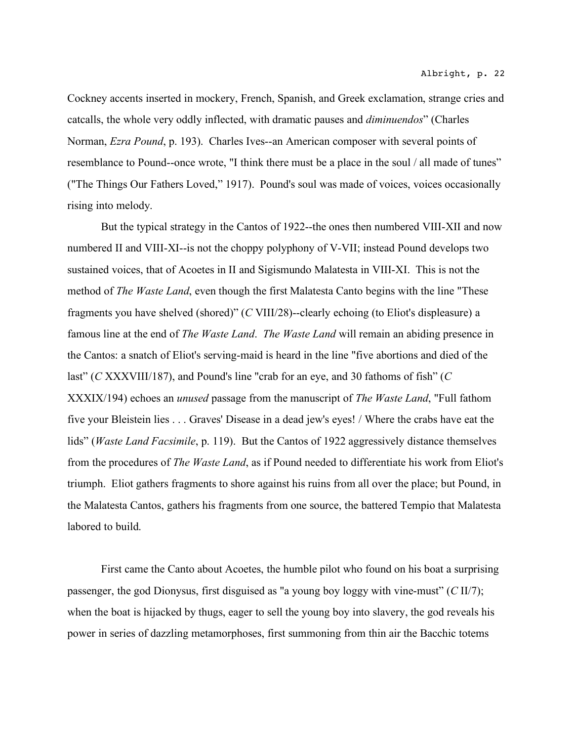Cockney accents inserted in mockery, French, Spanish, and Greek exclamation, strange cries and catcalls, the whole very oddly inflected, with dramatic pauses and *diminuendos*" (Charles Norman, *Ezra Pound*, p. 193). Charles Ives--an American composer with several points of resemblance to Pound--once wrote, "I think there must be a place in the soul / all made of tunes" ("The Things Our Fathers Loved," 1917). Pound's soul was made of voices, voices occasionally rising into melody.

But the typical strategy in the Cantos of 1922--the ones then numbered VIII-XII and now numbered II and VIII-XI--is not the choppy polyphony of V-VII; instead Pound develops two sustained voices, that of Acoetes in II and Sigismundo Malatesta in VIII-XI. This is not the method of *The Waste Land*, even though the first Malatesta Canto begins with the line "These fragments you have shelved (shored)" (*C* VIII/28)--clearly echoing (to Eliot's displeasure) a famous line at the end of *The Waste Land*. *The Waste Land* will remain an abiding presence in the Cantos: a snatch of Eliot's serving-maid is heard in the line "five abortions and died of the last" (*C* XXXVIII/187), and Pound's line "crab for an eye, and 30 fathoms of fish" (*C* XXXIX/194) echoes an *unused* passage from the manuscript of *The Waste Land*, "Full fathom five your Bleistein lies . . . Graves' Disease in a dead jew's eyes! / Where the crabs have eat the lids" (*Waste Land Facsimile*, p. 119). But the Cantos of 1922 aggressively distance themselves from the procedures of *The Waste Land*, as if Pound needed to differentiate his work from Eliot's triumph. Eliot gathers fragments to shore against his ruins from all over the place; but Pound, in the Malatesta Cantos, gathers his fragments from one source, the battered Tempio that Malatesta labored to build.

First came the Canto about Acoetes, the humble pilot who found on his boat a surprising passenger, the god Dionysus, first disguised as "a young boy loggy with vine-must" (*C* II/7); when the boat is hijacked by thugs, eager to sell the young boy into slavery, the god reveals his power in series of dazzling metamorphoses, first summoning from thin air the Bacchic totems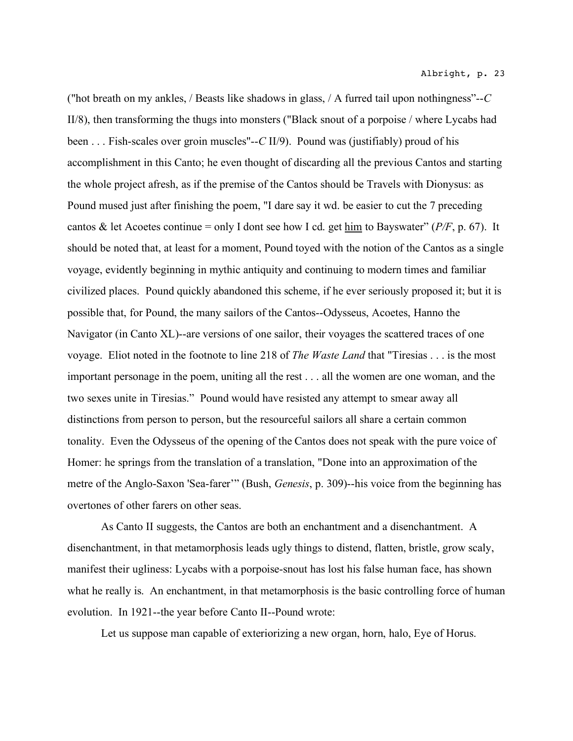("hot breath on my ankles, / Beasts like shadows in glass, / A furred tail upon nothingness"--*C* II/8), then transforming the thugs into monsters ("Black snout of a porpoise / where Lycabs had been . . . Fish-scales over groin muscles"--*C* II/9). Pound was (justifiably) proud of his accomplishment in this Canto; he even thought of discarding all the previous Cantos and starting the whole project afresh, as if the premise of the Cantos should be Travels with Dionysus: as Pound mused just after finishing the poem, "I dare say it wd. be easier to cut the 7 preceding cantos & let Acoetes continue = only I dont see how I cd. get him to Bayswater" ( $P/F$ , p. 67). It should be noted that, at least for a moment, Pound toyed with the notion of the Cantos as a single voyage, evidently beginning in mythic antiquity and continuing to modern times and familiar civilized places. Pound quickly abandoned this scheme, if he ever seriously proposed it; but it is possible that, for Pound, the many sailors of the Cantos--Odysseus, Acoetes, Hanno the Navigator (in Canto XL)--are versions of one sailor, their voyages the scattered traces of one voyage. Eliot noted in the footnote to line 218 of *The Waste Land* that "Tiresias . . . is the most important personage in the poem, uniting all the rest . . . all the women are one woman, and the two sexes unite in Tiresias." Pound would have resisted any attempt to smear away all distinctions from person to person, but the resourceful sailors all share a certain common tonality. Even the Odysseus of the opening of the Cantos does not speak with the pure voice of Homer: he springs from the translation of a translation, "Done into an approximation of the metre of the Anglo-Saxon 'Sea-farer'" (Bush, *Genesis*, p. 309)--his voice from the beginning has overtones of other farers on other seas.

As Canto II suggests, the Cantos are both an enchantment and a disenchantment. A disenchantment, in that metamorphosis leads ugly things to distend, flatten, bristle, grow scaly, manifest their ugliness: Lycabs with a porpoise-snout has lost his false human face, has shown what he really is. An enchantment, in that metamorphosis is the basic controlling force of human evolution. In 1921--the year before Canto II--Pound wrote:

Let us suppose man capable of exteriorizing a new organ, horn, halo, Eye of Horus.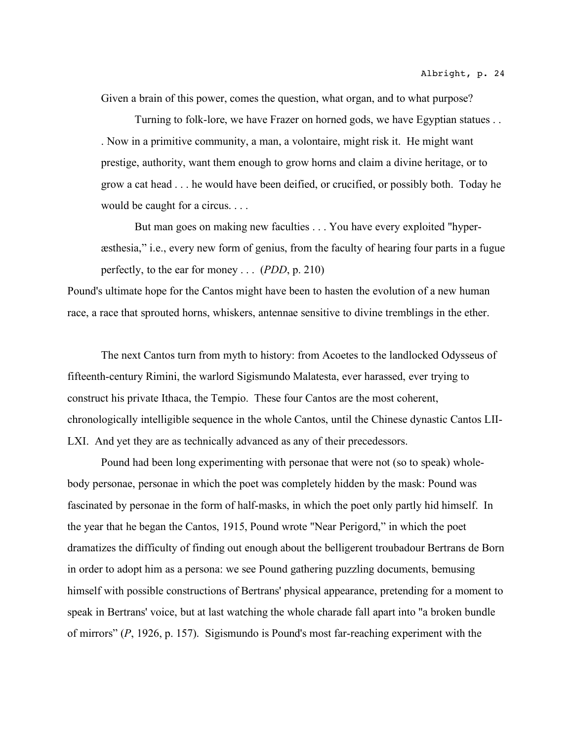Given a brain of this power, comes the question, what organ, and to what purpose?

Turning to folk-lore, we have Frazer on horned gods, we have Egyptian statues . . . Now in a primitive community, a man, a volontaire, might risk it. He might want prestige, authority, want them enough to grow horns and claim a divine heritage, or to grow a cat head . . . he would have been deified, or crucified, or possibly both. Today he would be caught for a circus. . . .

But man goes on making new faculties . . . You have every exploited "hyperæsthesia," i.e., every new form of genius, from the faculty of hearing four parts in a fugue perfectly, to the ear for money . . . (*PDD*, p. 210)

Pound's ultimate hope for the Cantos might have been to hasten the evolution of a new human race, a race that sprouted horns, whiskers, antennae sensitive to divine tremblings in the ether.

The next Cantos turn from myth to history: from Acoetes to the landlocked Odysseus of fifteenth-century Rimini, the warlord Sigismundo Malatesta, ever harassed, ever trying to construct his private Ithaca, the Tempio. These four Cantos are the most coherent, chronologically intelligible sequence in the whole Cantos, until the Chinese dynastic Cantos LII-LXI. And yet they are as technically advanced as any of their precedessors.

Pound had been long experimenting with personae that were not (so to speak) wholebody personae, personae in which the poet was completely hidden by the mask: Pound was fascinated by personae in the form of half-masks, in which the poet only partly hid himself. In the year that he began the Cantos, 1915, Pound wrote "Near Perigord," in which the poet dramatizes the difficulty of finding out enough about the belligerent troubadour Bertrans de Born in order to adopt him as a persona: we see Pound gathering puzzling documents, bemusing himself with possible constructions of Bertrans' physical appearance, pretending for a moment to speak in Bertrans' voice, but at last watching the whole charade fall apart into "a broken bundle of mirrors" (*P*, 1926, p. 157). Sigismundo is Pound's most far-reaching experiment with the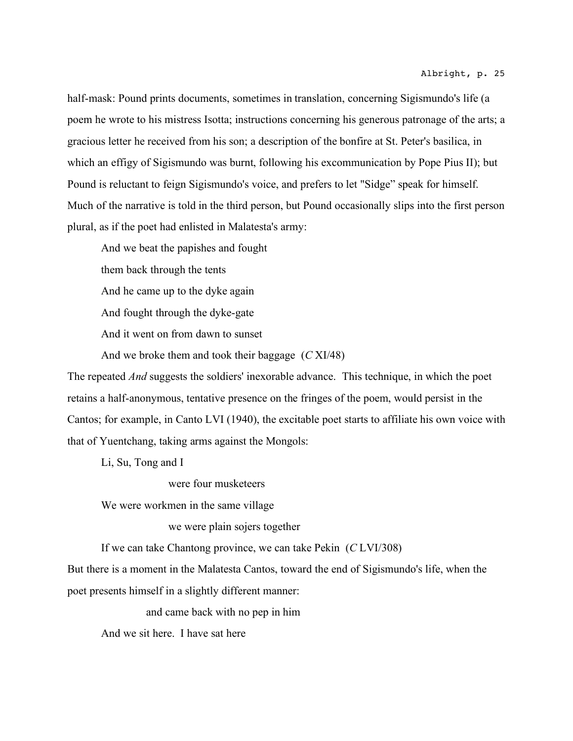half-mask: Pound prints documents, sometimes in translation, concerning Sigismundo's life (a poem he wrote to his mistress Isotta; instructions concerning his generous patronage of the arts; a gracious letter he received from his son; a description of the bonfire at St. Peter's basilica, in which an effigy of Sigismundo was burnt, following his excommunication by Pope Pius II); but Pound is reluctant to feign Sigismundo's voice, and prefers to let "Sidge" speak for himself. Much of the narrative is told in the third person, but Pound occasionally slips into the first person plural, as if the poet had enlisted in Malatesta's army:

And we beat the papishes and fought

them back through the tents

And he came up to the dyke again

And fought through the dyke-gate

And it went on from dawn to sunset

And we broke them and took their baggage (*C* XI/48)

The repeated *And* suggests the soldiers' inexorable advance. This technique, in which the poet retains a half-anonymous, tentative presence on the fringes of the poem, would persist in the Cantos; for example, in Canto LVI (1940), the excitable poet starts to affiliate his own voice with that of Yuentchang, taking arms against the Mongols:

Li, Su, Tong and I

were four musketeers

We were workmen in the same village

we were plain sojers together

If we can take Chantong province, we can take Pekin (*C* LVI/308)

But there is a moment in the Malatesta Cantos, toward the end of Sigismundo's life, when the poet presents himself in a slightly different manner:

and came back with no pep in him

And we sit here. I have sat here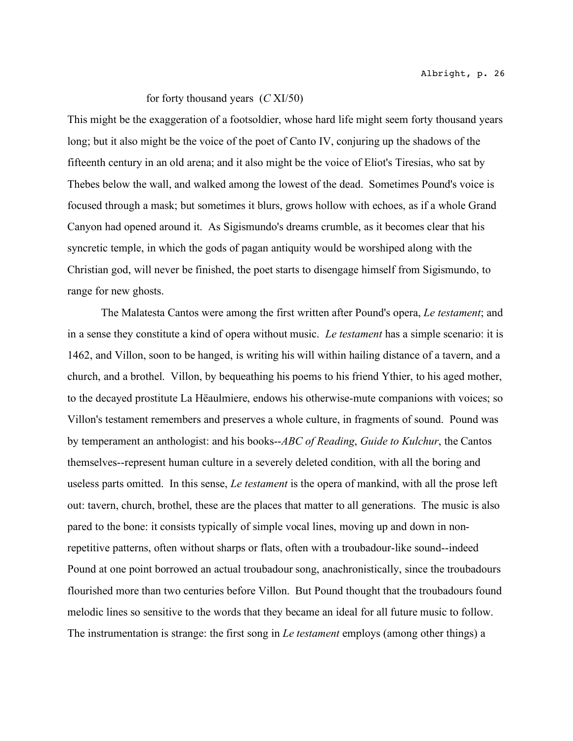## for forty thousand years (*C* XI/50)

This might be the exaggeration of a footsoldier, whose hard life might seem forty thousand years long; but it also might be the voice of the poet of Canto IV, conjuring up the shadows of the fifteenth century in an old arena; and it also might be the voice of Eliot's Tiresias, who sat by Thebes below the wall, and walked among the lowest of the dead. Sometimes Pound's voice is focused through a mask; but sometimes it blurs, grows hollow with echoes, as if a whole Grand Canyon had opened around it. As Sigismundo's dreams crumble, as it becomes clear that his syncretic temple, in which the gods of pagan antiquity would be worshiped along with the Christian god, will never be finished, the poet starts to disengage himself from Sigismundo, to range for new ghosts.

The Malatesta Cantos were among the first written after Pound's opera, *Le testament*; and in a sense they constitute a kind of opera without music. *Le testament* has a simple scenario: it is 1462, and Villon, soon to be hanged, is writing his will within hailing distance of a tavern, and a church, and a brothel. Villon, by bequeathing his poems to his friend Ythier, to his aged mother, to the decayed prostitute La Hëaulmiere, endows his otherwise-mute companions with voices; so Villon's testament remembers and preserves a whole culture, in fragments of sound. Pound was by temperament an anthologist: and his books--*ABC of Reading*, *Guide to Kulchur*, the Cantos themselves--represent human culture in a severely deleted condition, with all the boring and useless parts omitted. In this sense, *Le testament* is the opera of mankind, with all the prose left out: tavern, church, brothel, these are the places that matter to all generations. The music is also pared to the bone: it consists typically of simple vocal lines, moving up and down in nonrepetitive patterns, often without sharps or flats, often with a troubadour-like sound--indeed Pound at one point borrowed an actual troubadour song, anachronistically, since the troubadours flourished more than two centuries before Villon. But Pound thought that the troubadours found melodic lines so sensitive to the words that they became an ideal for all future music to follow. The instrumentation is strange: the first song in *Le testament* employs (among other things) a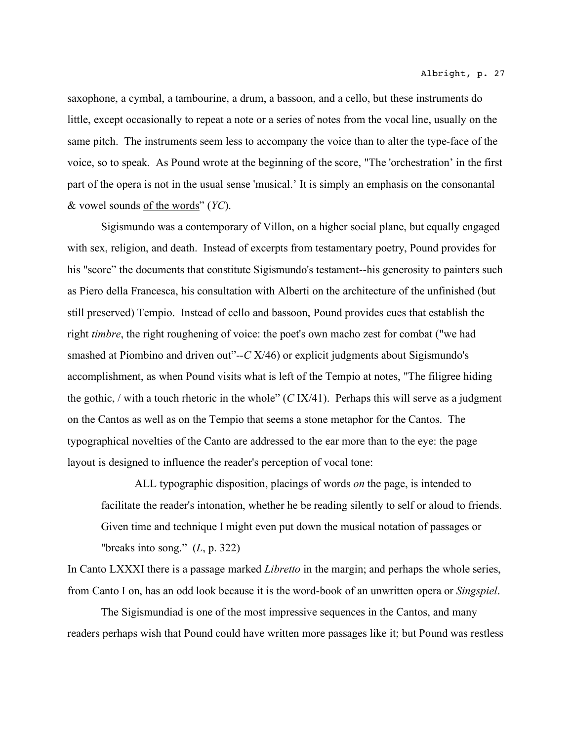saxophone, a cymbal, a tambourine, a drum, a bassoon, and a cello, but these instruments do little, except occasionally to repeat a note or a series of notes from the vocal line, usually on the same pitch. The instruments seem less to accompany the voice than to alter the type-face of the voice, so to speak. As Pound wrote at the beginning of the score, "The 'orchestration' in the first part of the opera is not in the usual sense 'musical.' It is simply an emphasis on the consonantal & vowel sounds of the words" (*YC*).

Sigismundo was a contemporary of Villon, on a higher social plane, but equally engaged with sex, religion, and death. Instead of excerpts from testamentary poetry, Pound provides for his "score" the documents that constitute Sigismundo's testament--his generosity to painters such as Piero della Francesca, his consultation with Alberti on the architecture of the unfinished (but still preserved) Tempio. Instead of cello and bassoon, Pound provides cues that establish the right *timbre*, the right roughening of voice: the poet's own macho zest for combat ("we had smashed at Piombino and driven out"--*C* X/46) or explicit judgments about Sigismundo's accomplishment, as when Pound visits what is left of the Tempio at notes, "The filigree hiding the gothic, / with a touch rhetoric in the whole" (*C* IX/41). Perhaps this will serve as a judgment on the Cantos as well as on the Tempio that seems a stone metaphor for the Cantos. The typographical novelties of the Canto are addressed to the ear more than to the eye: the page layout is designed to influence the reader's perception of vocal tone:

ALL typographic disposition, placings of words *on* the page, is intended to facilitate the reader's intonation, whether he be reading silently to self or aloud to friends. Given time and technique I might even put down the musical notation of passages or "breaks into song." (*L*, p. 322)

In Canto LXXXI there is a passage marked *Libretto* in the margin; and perhaps the whole series, from Canto I on, has an odd look because it is the word-book of an unwritten opera or *Singspiel*.

The Sigismundiad is one of the most impressive sequences in the Cantos, and many readers perhaps wish that Pound could have written more passages like it; but Pound was restless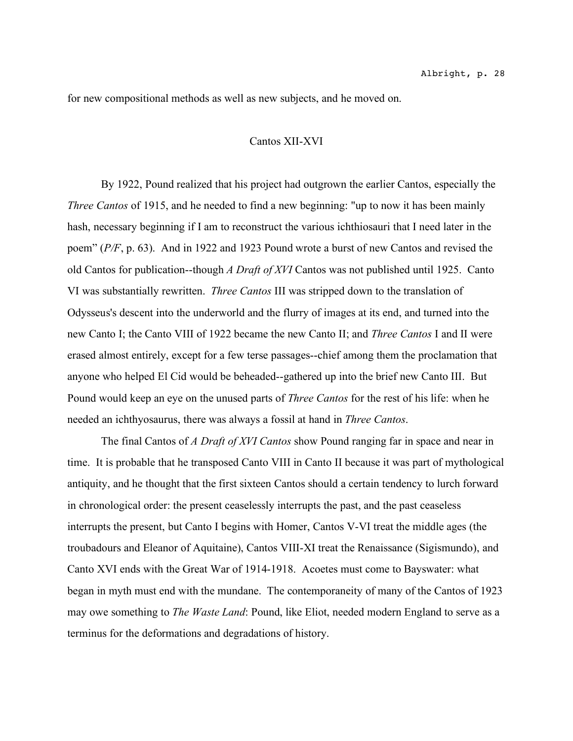for new compositional methods as well as new subjects, and he moved on.

#### Cantos XII-XVI

By 1922, Pound realized that his project had outgrown the earlier Cantos, especially the *Three Cantos* of 1915, and he needed to find a new beginning: "up to now it has been mainly hash, necessary beginning if I am to reconstruct the various ichthiosauri that I need later in the poem" (*P/F*, p. 63). And in 1922 and 1923 Pound wrote a burst of new Cantos and revised the old Cantos for publication--though *A Draft of XVI* Cantos was not published until 1925. Canto VI was substantially rewritten. *Three Cantos* III was stripped down to the translation of Odysseus's descent into the underworld and the flurry of images at its end, and turned into the new Canto I; the Canto VIII of 1922 became the new Canto II; and *Three Cantos* I and II were erased almost entirely, except for a few terse passages--chief among them the proclamation that anyone who helped El Cid would be beheaded--gathered up into the brief new Canto III. But Pound would keep an eye on the unused parts of *Three Cantos* for the rest of his life: when he needed an ichthyosaurus, there was always a fossil at hand in *Three Cantos*.

The final Cantos of *A Draft of XVI Cantos* show Pound ranging far in space and near in time. It is probable that he transposed Canto VIII in Canto II because it was part of mythological antiquity, and he thought that the first sixteen Cantos should a certain tendency to lurch forward in chronological order: the present ceaselessly interrupts the past, and the past ceaseless interrupts the present, but Canto I begins with Homer, Cantos V-VI treat the middle ages (the troubadours and Eleanor of Aquitaine), Cantos VIII-XI treat the Renaissance (Sigismundo), and Canto XVI ends with the Great War of 1914-1918. Acoetes must come to Bayswater: what began in myth must end with the mundane. The contemporaneity of many of the Cantos of 1923 may owe something to *The Waste Land*: Pound, like Eliot, needed modern England to serve as a terminus for the deformations and degradations of history.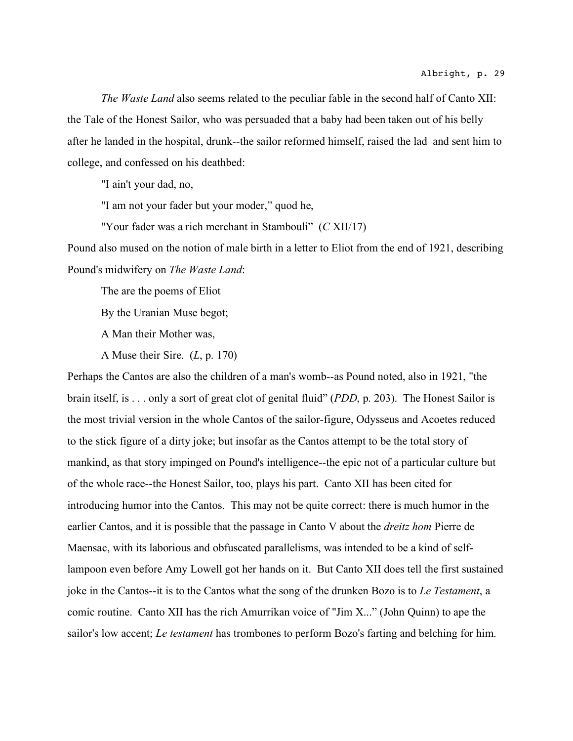*The Waste Land* also seems related to the peculiar fable in the second half of Canto XII: the Tale of the Honest Sailor, who was persuaded that a baby had been taken out of his belly after he landed in the hospital, drunk--the sailor reformed himself, raised the lad and sent him to college, and confessed on his deathbed:

"I ain't your dad, no,

"I am not your fader but your moder," quod he,

"Your fader was a rich merchant in Stambouli" (*C* XII/17)

Pound also mused on the notion of male birth in a letter to Eliot from the end of 1921, describing Pound's midwifery on *The Waste Land*:

The are the poems of Eliot

By the Uranian Muse begot;

A Man their Mother was,

A Muse their Sire. (*L*, p. 170)

Perhaps the Cantos are also the children of a man's womb--as Pound noted, also in 1921, "the brain itself, is . . . only a sort of great clot of genital fluid" (*PDD*, p. 203). The Honest Sailor is the most trivial version in the whole Cantos of the sailor-figure, Odysseus and Acoetes reduced to the stick figure of a dirty joke; but insofar as the Cantos attempt to be the total story of mankind, as that story impinged on Pound's intelligence--the epic not of a particular culture but of the whole race--the Honest Sailor, too, plays his part. Canto XII has been cited for introducing humor into the Cantos. This may not be quite correct: there is much humor in the earlier Cantos, and it is possible that the passage in Canto V about the *dreitz hom* Pierre de Maensac, with its laborious and obfuscated parallelisms, was intended to be a kind of selflampoon even before Amy Lowell got her hands on it. But Canto XII does tell the first sustained joke in the Cantos--it is to the Cantos what the song of the drunken Bozo is to *Le Testament*, a comic routine. Canto XII has the rich Amurrikan voice of "Jim X..." (John Quinn) to ape the sailor's low accent; *Le testament* has trombones to perform Bozo's farting and belching for him.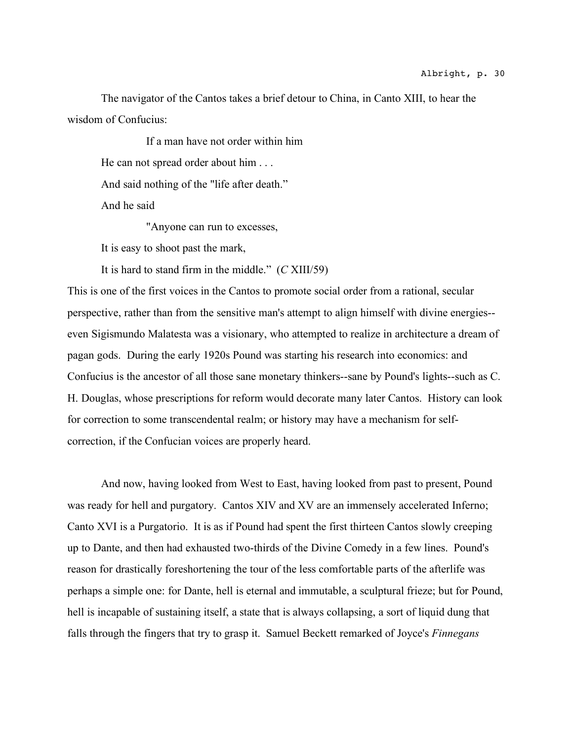The navigator of the Cantos takes a brief detour to China, in Canto XIII, to hear the wisdom of Confucius:

If a man have not order within him He can not spread order about him . . . And said nothing of the "life after death." And he said

"Anyone can run to excesses,

It is easy to shoot past the mark,

It is hard to stand firm in the middle." (*C* XIII/59)

This is one of the first voices in the Cantos to promote social order from a rational, secular perspective, rather than from the sensitive man's attempt to align himself with divine energies- even Sigismundo Malatesta was a visionary, who attempted to realize in architecture a dream of pagan gods. During the early 1920s Pound was starting his research into economics: and Confucius is the ancestor of all those sane monetary thinkers--sane by Pound's lights--such as C. H. Douglas, whose prescriptions for reform would decorate many later Cantos. History can look for correction to some transcendental realm; or history may have a mechanism for selfcorrection, if the Confucian voices are properly heard.

And now, having looked from West to East, having looked from past to present, Pound was ready for hell and purgatory. Cantos XIV and XV are an immensely accelerated Inferno; Canto XVI is a Purgatorio. It is as if Pound had spent the first thirteen Cantos slowly creeping up to Dante, and then had exhausted two-thirds of the Divine Comedy in a few lines. Pound's reason for drastically foreshortening the tour of the less comfortable parts of the afterlife was perhaps a simple one: for Dante, hell is eternal and immutable, a sculptural frieze; but for Pound, hell is incapable of sustaining itself, a state that is always collapsing, a sort of liquid dung that falls through the fingers that try to grasp it. Samuel Beckett remarked of Joyce's *Finnegans*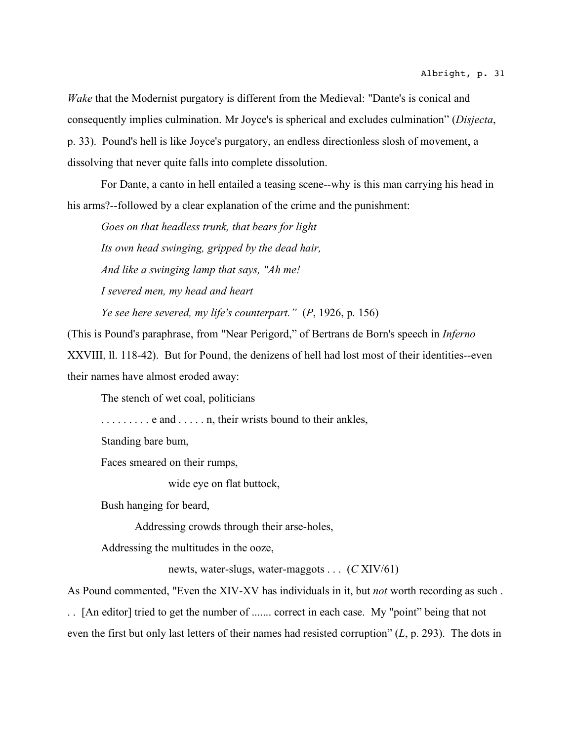*Wake* that the Modernist purgatory is different from the Medieval: "Dante's is conical and consequently implies culmination. Mr Joyce's is spherical and excludes culmination" (*Disjecta*, p. 33). Pound's hell is like Joyce's purgatory, an endless directionless slosh of movement, a dissolving that never quite falls into complete dissolution.

For Dante, a canto in hell entailed a teasing scene--why is this man carrying his head in his arms?--followed by a clear explanation of the crime and the punishment:

*Goes on that headless trunk, that bears for light Its own head swinging, gripped by the dead hair, And like a swinging lamp that says, "Ah me!*

*I severed men, my head and heart*

*Ye see here severed, my life's counterpart."* (*P*, 1926, p. 156)

(This is Pound's paraphrase, from "Near Perigord," of Bertrans de Born's speech in *Inferno* XXVIII, ll. 118-42). But for Pound, the denizens of hell had lost most of their identities--even their names have almost eroded away:

The stench of wet coal, politicians

 $\dots \dots$  e and  $\dots$  n, their wrists bound to their ankles,

Standing bare bum,

Faces smeared on their rumps,

wide eye on flat buttock,

Bush hanging for beard,

Addressing crowds through their arse-holes,

Addressing the multitudes in the ooze,

newts, water-slugs, water-maggots . . . (*C* XIV/61)

As Pound commented, "Even the XIV-XV has individuals in it, but *not* worth recording as such .

. . [An editor] tried to get the number of ....... correct in each case. My "point" being that not

even the first but only last letters of their names had resisted corruption" (*L*, p. 293). The dots in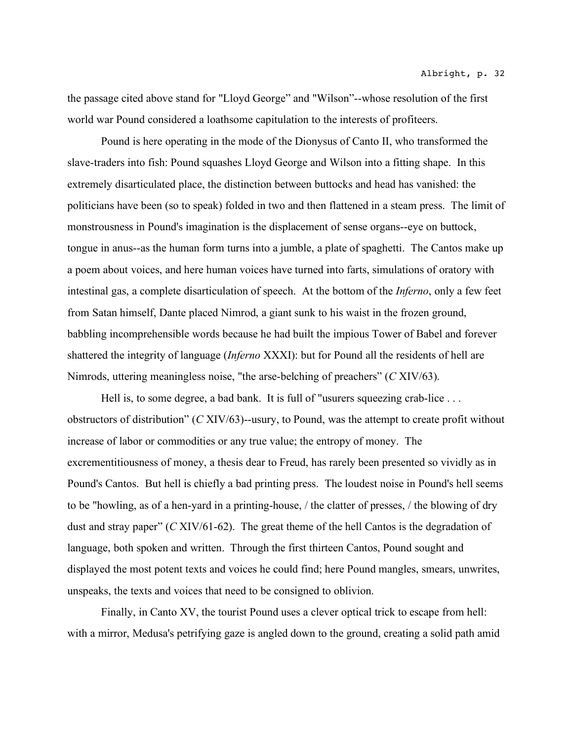the passage cited above stand for "Lloyd George" and "Wilson"--whose resolution of the first world war Pound considered a loathsome capitulation to the interests of profiteers.

Pound is here operating in the mode of the Dionysus of Canto II, who transformed the slave-traders into fish: Pound squashes Lloyd George and Wilson into a fitting shape. In this extremely disarticulated place, the distinction between buttocks and head has vanished: the politicians have been (so to speak) folded in two and then flattened in a steam press. The limit of monstrousness in Pound's imagination is the displacement of sense organs--eye on buttock, tongue in anus--as the human form turns into a jumble, a plate of spaghetti. The Cantos make up a poem about voices, and here human voices have turned into farts, simulations of oratory with intestinal gas, a complete disarticulation of speech. At the bottom of the *Inferno*, only a few feet from Satan himself, Dante placed Nimrod, a giant sunk to his waist in the frozen ground, babbling incomprehensible words because he had built the impious Tower of Babel and forever shattered the integrity of language (*Inferno* XXXI): but for Pound all the residents of hell are Nimrods, uttering meaningless noise, "the arse-belching of preachers" (*C* XIV/63).

Hell is, to some degree, a bad bank. It is full of "usurers squeezing crab-lice ... obstructors of distribution" (*C* XIV/63)--usury, to Pound, was the attempt to create profit without increase of labor or commodities or any true value; the entropy of money. The excrementitiousness of money, a thesis dear to Freud, has rarely been presented so vividly as in Pound's Cantos. But hell is chiefly a bad printing press. The loudest noise in Pound's hell seems to be "howling, as of a hen-yard in a printing-house, / the clatter of presses, / the blowing of dry dust and stray paper" (*C* XIV/61-62). The great theme of the hell Cantos is the degradation of language, both spoken and written. Through the first thirteen Cantos, Pound sought and displayed the most potent texts and voices he could find; here Pound mangles, smears, unwrites, unspeaks, the texts and voices that need to be consigned to oblivion.

Finally, in Canto XV, the tourist Pound uses a clever optical trick to escape from hell: with a mirror, Medusa's petrifying gaze is angled down to the ground, creating a solid path amid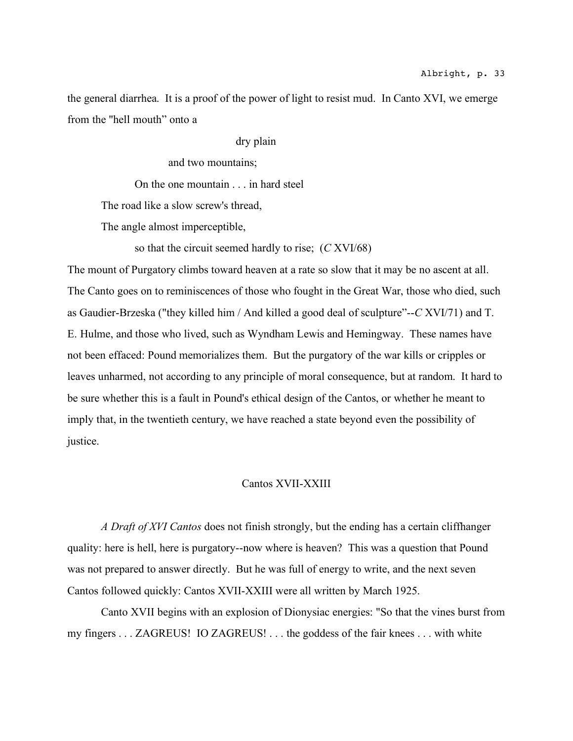the general diarrhea. It is a proof of the power of light to resist mud. In Canto XVI, we emerge from the "hell mouth" onto a

dry plain

and two mountains;

On the one mountain . . . in hard steel

The road like a slow screw's thread,

The angle almost imperceptible,

so that the circuit seemed hardly to rise; (*C* XVI/68)

The mount of Purgatory climbs toward heaven at a rate so slow that it may be no ascent at all. The Canto goes on to reminiscences of those who fought in the Great War, those who died, such as Gaudier-Brzeska ("they killed him / And killed a good deal of sculpture"--*C* XVI/71) and T. E. Hulme, and those who lived, such as Wyndham Lewis and Hemingway. These names have not been effaced: Pound memorializes them. But the purgatory of the war kills or cripples or leaves unharmed, not according to any principle of moral consequence, but at random. It hard to be sure whether this is a fault in Pound's ethical design of the Cantos, or whether he meant to imply that, in the twentieth century, we have reached a state beyond even the possibility of justice.

# Cantos XVII-XXIII

*A Draft of XVI Cantos* does not finish strongly, but the ending has a certain cliffhanger quality: here is hell, here is purgatory--now where is heaven? This was a question that Pound was not prepared to answer directly. But he was full of energy to write, and the next seven Cantos followed quickly: Cantos XVII-XXIII were all written by March 1925.

Canto XVII begins with an explosion of Dionysiac energies: "So that the vines burst from my fingers . . . ZAGREUS! IO ZAGREUS! . . . the goddess of the fair knees . . . with white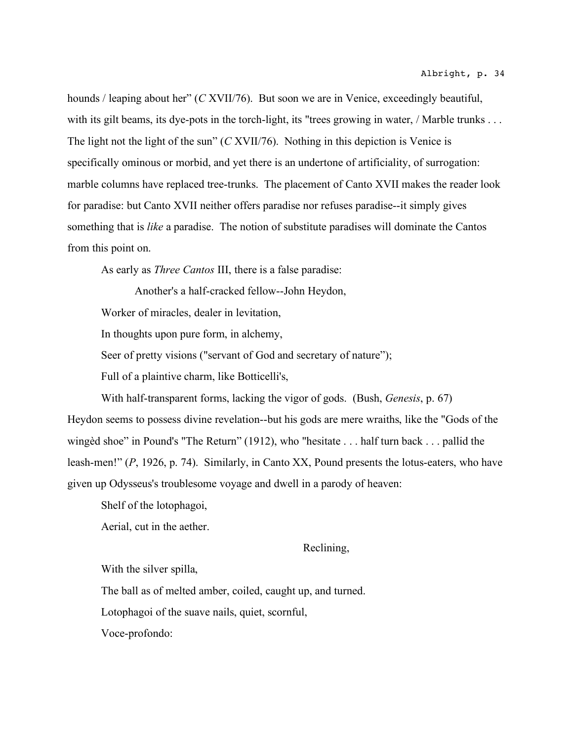hounds / leaping about her" (*C* XVII/76). But soon we are in Venice, exceedingly beautiful, with its gilt beams, its dye-pots in the torch-light, its "trees growing in water, / Marble trunks . . . The light not the light of the sun" (*C* XVII/76). Nothing in this depiction is Venice is specifically ominous or morbid, and yet there is an undertone of artificiality, of surrogation: marble columns have replaced tree-trunks. The placement of Canto XVII makes the reader look for paradise: but Canto XVII neither offers paradise nor refuses paradise--it simply gives something that is *like* a paradise. The notion of substitute paradises will dominate the Cantos from this point on.

As early as *Three Cantos* III, there is a false paradise:

Another's a half-cracked fellow--John Heydon,

Worker of miracles, dealer in levitation,

In thoughts upon pure form, in alchemy,

Seer of pretty visions ("servant of God and secretary of nature");

Full of a plaintive charm, like Botticelli's,

With half-transparent forms, lacking the vigor of gods. (Bush, *Genesis*, p. 67) Heydon seems to possess divine revelation--but his gods are mere wraiths, like the "Gods of the wingèd shoe" in Pound's "The Return" (1912), who "hesitate . . . half turn back . . . pallid the leash-men!" (*P*, 1926, p. 74). Similarly, in Canto XX, Pound presents the lotus-eaters, who have given up Odysseus's troublesome voyage and dwell in a parody of heaven:

Shelf of the lotophagoi,

Aerial, cut in the aether.

#### Reclining,

With the silver spilla,

The ball as of melted amber, coiled, caught up, and turned.

Lotophagoi of the suave nails, quiet, scornful,

Voce-profondo: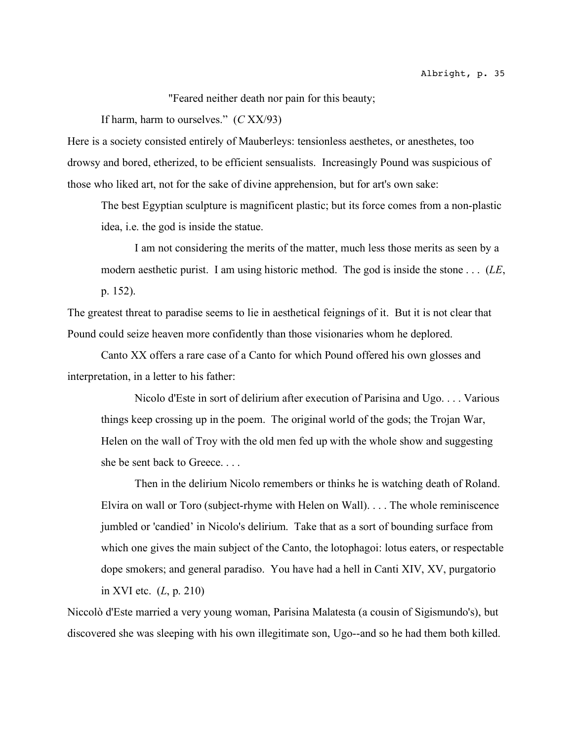"Feared neither death nor pain for this beauty;

If harm, harm to ourselves." (*C* XX/93)

Here is a society consisted entirely of Mauberleys: tensionless aesthetes, or anesthetes, too drowsy and bored, etherized, to be efficient sensualists. Increasingly Pound was suspicious of those who liked art, not for the sake of divine apprehension, but for art's own sake:

The best Egyptian sculpture is magnificent plastic; but its force comes from a non-plastic idea, i.e. the god is inside the statue.

I am not considering the merits of the matter, much less those merits as seen by a modern aesthetic purist. I am using historic method. The god is inside the stone . . . (*LE*, p. 152).

The greatest threat to paradise seems to lie in aesthetical feignings of it. But it is not clear that Pound could seize heaven more confidently than those visionaries whom he deplored.

Canto XX offers a rare case of a Canto for which Pound offered his own glosses and interpretation, in a letter to his father:

Nicolo d'Este in sort of delirium after execution of Parisina and Ugo. . . . Various things keep crossing up in the poem. The original world of the gods; the Trojan War, Helen on the wall of Troy with the old men fed up with the whole show and suggesting she be sent back to Greece. . . .

Then in the delirium Nicolo remembers or thinks he is watching death of Roland. Elvira on wall or Toro (subject-rhyme with Helen on Wall). . . . The whole reminiscence jumbled or 'candied' in Nicolo's delirium. Take that as a sort of bounding surface from which one gives the main subject of the Canto, the lotophagoi: lotus eaters, or respectable dope smokers; and general paradiso. You have had a hell in Canti XIV, XV, purgatorio in XVI etc. (*L*, p. 210)

Niccolò d'Este married a very young woman, Parisina Malatesta (a cousin of Sigismundo's), but discovered she was sleeping with his own illegitimate son, Ugo--and so he had them both killed.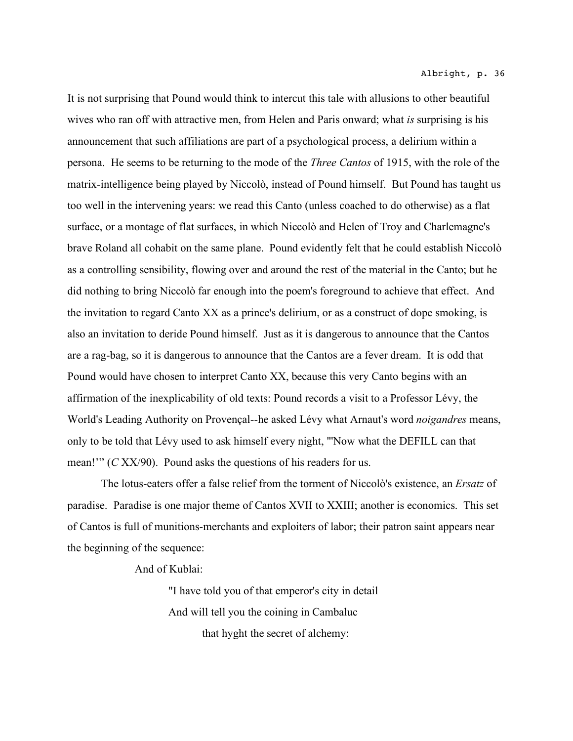It is not surprising that Pound would think to intercut this tale with allusions to other beautiful wives who ran off with attractive men, from Helen and Paris onward; what *is* surprising is his announcement that such affiliations are part of a psychological process, a delirium within a persona. He seems to be returning to the mode of the *Three Cantos* of 1915, with the role of the matrix-intelligence being played by Niccolò, instead of Pound himself. But Pound has taught us too well in the intervening years: we read this Canto (unless coached to do otherwise) as a flat surface, or a montage of flat surfaces, in which Niccolò and Helen of Troy and Charlemagne's brave Roland all cohabit on the same plane. Pound evidently felt that he could establish Niccolò as a controlling sensibility, flowing over and around the rest of the material in the Canto; but he did nothing to bring Niccolò far enough into the poem's foreground to achieve that effect. And the invitation to regard Canto XX as a prince's delirium, or as a construct of dope smoking, is also an invitation to deride Pound himself. Just as it is dangerous to announce that the Cantos are a rag-bag, so it is dangerous to announce that the Cantos are a fever dream. It is odd that Pound would have chosen to interpret Canto XX, because this very Canto begins with an affirmation of the inexplicability of old texts: Pound records a visit to a Professor Lévy, the World's Leading Authority on Provençal--he asked Lévy what Arnaut's word *noigandres* means, only to be told that Lévy used to ask himself every night, "'Now what the DEFILL can that mean!'" (*C* XX/90). Pound asks the questions of his readers for us.

The lotus-eaters offer a false relief from the torment of Niccolò's existence, an *Ersatz* of paradise. Paradise is one major theme of Cantos XVII to XXIII; another is economics. This set of Cantos is full of munitions-merchants and exploiters of labor; their patron saint appears near the beginning of the sequence:

And of Kublai:

"I have told you of that emperor's city in detail And will tell you the coining in Cambaluc that hyght the secret of alchemy: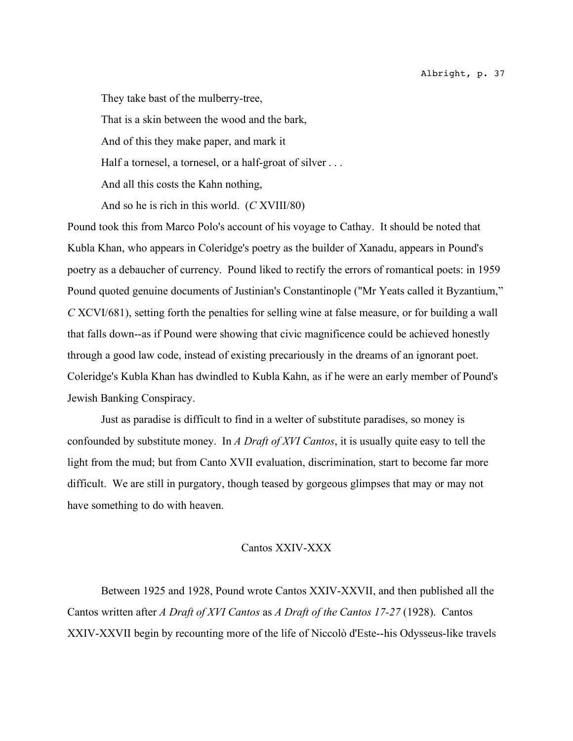They take bast of the mulberry-tree, That is a skin between the wood and the bark, And of this they make paper, and mark it Half a tornesel, a tornesel, or a half-groat of silver . . . And all this costs the Kahn nothing, And so he is rich in this world. (*C* XVIII/80)

Pound took this from Marco Polo's account of his voyage to Cathay. It should be noted that Kubla Khan, who appears in Coleridge's poetry as the builder of Xanadu, appears in Pound's poetry as a debaucher of currency. Pound liked to rectify the errors of romantical poets: in 1959 Pound quoted genuine documents of Justinian's Constantinople ("Mr Yeats called it Byzantium," *C* XCVI/681), setting forth the penalties for selling wine at false measure, or for building a wall that falls down--as if Pound were showing that civic magnificence could be achieved honestly through a good law code, instead of existing precariously in the dreams of an ignorant poet. Coleridge's Kubla Khan has dwindled to Kubla Kahn, as if he were an early member of Pound's Jewish Banking Conspiracy.

Just as paradise is difficult to find in a welter of substitute paradises, so money is confounded by substitute money. In *A Draft of XVI Cantos*, it is usually quite easy to tell the light from the mud; but from Canto XVII evaluation, discrimination, start to become far more difficult. We are still in purgatory, though teased by gorgeous glimpses that may or may not have something to do with heaven.

#### Cantos XXIV-XXX

Between 1925 and 1928, Pound wrote Cantos XXIV-XXVII, and then published all the Cantos written after *A Draft of XVI Cantos* as *A Draft of the Cantos 17-27* (1928). Cantos XXIV-XXVII begin by recounting more of the life of Niccolò d'Este--his Odysseus-like travels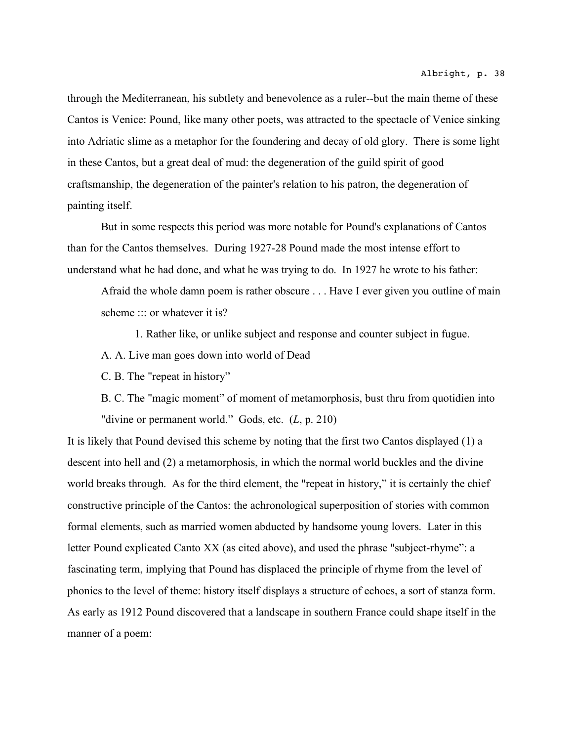through the Mediterranean, his subtlety and benevolence as a ruler--but the main theme of these Cantos is Venice: Pound, like many other poets, was attracted to the spectacle of Venice sinking into Adriatic slime as a metaphor for the foundering and decay of old glory. There is some light in these Cantos, but a great deal of mud: the degeneration of the guild spirit of good craftsmanship, the degeneration of the painter's relation to his patron, the degeneration of painting itself.

But in some respects this period was more notable for Pound's explanations of Cantos than for the Cantos themselves. During 1927-28 Pound made the most intense effort to understand what he had done, and what he was trying to do. In 1927 he wrote to his father:

Afraid the whole damn poem is rather obscure . . . Have I ever given you outline of main scheme ::: or whatever it is?

1. Rather like, or unlike subject and response and counter subject in fugue.

A. A. Live man goes down into world of Dead

C. B. The "repeat in history"

B. C. The "magic moment" of moment of metamorphosis, bust thru from quotidien into "divine or permanent world." Gods, etc. (*L*, p. 210)

It is likely that Pound devised this scheme by noting that the first two Cantos displayed (1) a descent into hell and (2) a metamorphosis, in which the normal world buckles and the divine world breaks through. As for the third element, the "repeat in history," it is certainly the chief constructive principle of the Cantos: the achronological superposition of stories with common formal elements, such as married women abducted by handsome young lovers. Later in this letter Pound explicated Canto XX (as cited above), and used the phrase "subject-rhyme": a fascinating term, implying that Pound has displaced the principle of rhyme from the level of phonics to the level of theme: history itself displays a structure of echoes, a sort of stanza form. As early as 1912 Pound discovered that a landscape in southern France could shape itself in the manner of a poem: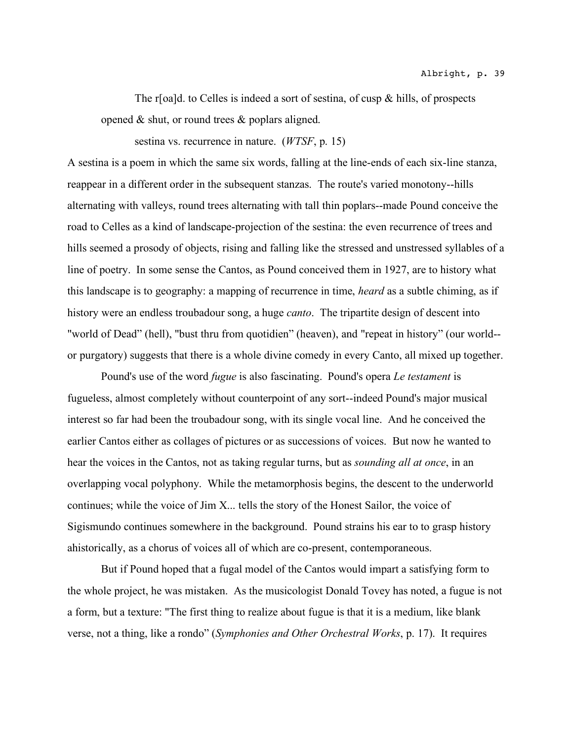The r[oa]d. to Celles is indeed a sort of sestina, of cusp & hills, of prospects opened & shut, or round trees & poplars aligned.

sestina vs. recurrence in nature. (*WTSF*, p. 15)

A sestina is a poem in which the same six words, falling at the line-ends of each six-line stanza, reappear in a different order in the subsequent stanzas. The route's varied monotony--hills alternating with valleys, round trees alternating with tall thin poplars--made Pound conceive the road to Celles as a kind of landscape-projection of the sestina: the even recurrence of trees and hills seemed a prosody of objects, rising and falling like the stressed and unstressed syllables of a line of poetry. In some sense the Cantos, as Pound conceived them in 1927, are to history what this landscape is to geography: a mapping of recurrence in time, *heard* as a subtle chiming, as if history were an endless troubadour song, a huge *canto*. The tripartite design of descent into "world of Dead" (hell), "bust thru from quotidien" (heaven), and "repeat in history" (our world- or purgatory) suggests that there is a whole divine comedy in every Canto, all mixed up together.

Pound's use of the word *fugue* is also fascinating. Pound's opera *Le testament* is fugueless, almost completely without counterpoint of any sort--indeed Pound's major musical interest so far had been the troubadour song, with its single vocal line. And he conceived the earlier Cantos either as collages of pictures or as successions of voices. But now he wanted to hear the voices in the Cantos, not as taking regular turns, but as *sounding all at once*, in an overlapping vocal polyphony. While the metamorphosis begins, the descent to the underworld continues; while the voice of Jim X... tells the story of the Honest Sailor, the voice of Sigismundo continues somewhere in the background. Pound strains his ear to to grasp history ahistorically, as a chorus of voices all of which are co-present, contemporaneous.

But if Pound hoped that a fugal model of the Cantos would impart a satisfying form to the whole project, he was mistaken. As the musicologist Donald Tovey has noted, a fugue is not a form, but a texture: "The first thing to realize about fugue is that it is a medium, like blank verse, not a thing, like a rondo" (*Symphonies and Other Orchestral Works*, p. 17). It requires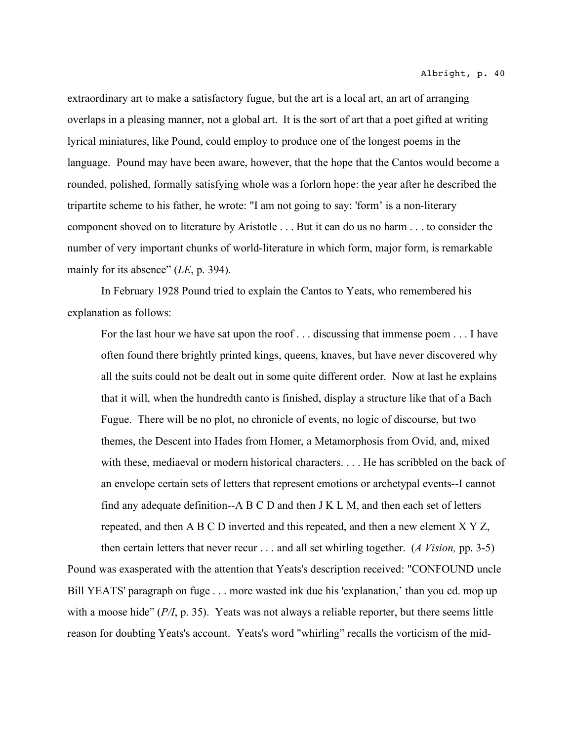Albright, p. 40

extraordinary art to make a satisfactory fugue, but the art is a local art, an art of arranging overlaps in a pleasing manner, not a global art. It is the sort of art that a poet gifted at writing lyrical miniatures, like Pound, could employ to produce one of the longest poems in the language. Pound may have been aware, however, that the hope that the Cantos would become a rounded, polished, formally satisfying whole was a forlorn hope: the year after he described the tripartite scheme to his father, he wrote: "I am not going to say: 'form' is a non-literary component shoved on to literature by Aristotle . . . But it can do us no harm . . . to consider the number of very important chunks of world-literature in which form, major form, is remarkable mainly for its absence" (*LE*, p. 394).

In February 1928 Pound tried to explain the Cantos to Yeats, who remembered his explanation as follows:

For the last hour we have sat upon the roof . . . discussing that immense poem . . . I have often found there brightly printed kings, queens, knaves, but have never discovered why all the suits could not be dealt out in some quite different order. Now at last he explains that it will, when the hundredth canto is finished, display a structure like that of a Bach Fugue. There will be no plot, no chronicle of events, no logic of discourse, but two themes, the Descent into Hades from Homer, a Metamorphosis from Ovid, and, mixed with these, mediaeval or modern historical characters. . . . He has scribbled on the back of an envelope certain sets of letters that represent emotions or archetypal events--I cannot find any adequate definition--A B C D and then J K L M, and then each set of letters repeated, and then A B C D inverted and this repeated, and then a new element X Y Z, then certain letters that never recur . . . and all set whirling together. (*A Vision,* pp. 3-5)

Pound was exasperated with the attention that Yeats's description received: "CONFOUND uncle Bill YEATS' paragraph on fuge . . . more wasted ink due his 'explanation,' than you cd. mop up with a moose hide" (*P*/*I*, p. 35). Yeats was not always a reliable reporter, but there seems little reason for doubting Yeats's account. Yeats's word "whirling" recalls the vorticism of the mid-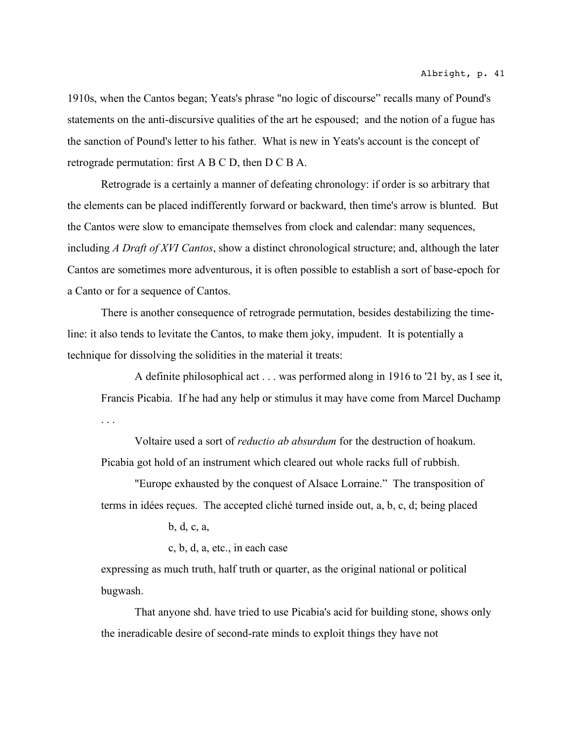1910s, when the Cantos began; Yeats's phrase "no logic of discourse" recalls many of Pound's statements on the anti-discursive qualities of the art he espoused; and the notion of a fugue has the sanction of Pound's letter to his father. What is new in Yeats's account is the concept of retrograde permutation: first A B C D, then D C B A.

Retrograde is a certainly a manner of defeating chronology: if order is so arbitrary that the elements can be placed indifferently forward or backward, then time's arrow is blunted. But the Cantos were slow to emancipate themselves from clock and calendar: many sequences, including *A Draft of XVI Cantos*, show a distinct chronological structure; and, although the later Cantos are sometimes more adventurous, it is often possible to establish a sort of base-epoch for a Canto or for a sequence of Cantos.

There is another consequence of retrograde permutation, besides destabilizing the timeline: it also tends to levitate the Cantos, to make them joky, impudent. It is potentially a technique for dissolving the solidities in the material it treats:

A definite philosophical act . . . was performed along in 1916 to '21 by, as I see it, Francis Picabia. If he had any help or stimulus it may have come from Marcel Duchamp . . .

Voltaire used a sort of *reductio ab absurdum* for the destruction of hoakum. Picabia got hold of an instrument which cleared out whole racks full of rubbish.

"Europe exhausted by the conquest of Alsace Lorraine." The transposition of terms in idées reçues. The accepted cliché turned inside out, a, b, c, d; being placed

b, d, c, a,

c, b, d, a, etc., in each case

expressing as much truth, half truth or quarter, as the original national or political bugwash.

That anyone shd. have tried to use Picabia's acid for building stone, shows only the ineradicable desire of second-rate minds to exploit things they have not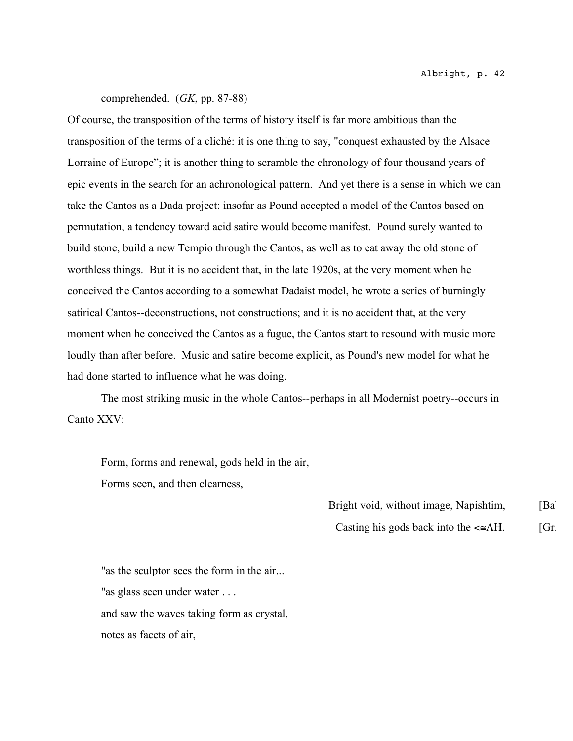Albright, p. 42

## comprehended. (*GK*, pp. 87-88)

Of course, the transposition of the terms of history itself is far more ambitious than the transposition of the terms of a cliché: it is one thing to say, "conquest exhausted by the Alsace Lorraine of Europe"; it is another thing to scramble the chronology of four thousand years of epic events in the search for an achronological pattern. And yet there is a sense in which we can take the Cantos as a Dada project: insofar as Pound accepted a model of the Cantos based on permutation, a tendency toward acid satire would become manifest. Pound surely wanted to build stone, build a new Tempio through the Cantos, as well as to eat away the old stone of worthless things. But it is no accident that, in the late 1920s, at the very moment when he conceived the Cantos according to a somewhat Dadaist model, he wrote a series of burningly satirical Cantos--deconstructions, not constructions; and it is no accident that, at the very moment when he conceived the Cantos as a fugue, the Cantos start to resound with music more loudly than after before. Music and satire become explicit, as Pound's new model for what he had done started to influence what he was doing.

The most striking music in the whole Cantos--perhaps in all Modernist poetry--occurs in Canto XXV:

Form, forms and renewal, gods held in the air, Forms seen, and then clearness,

Bright void, without image, Napishtim, [Ba

Casting his gods back into the  $\leq \Delta H$ . [Gr.:

"as the sculptor sees the form in the air... "as glass seen under water . . . and saw the waves taking form as crystal, notes as facets of air,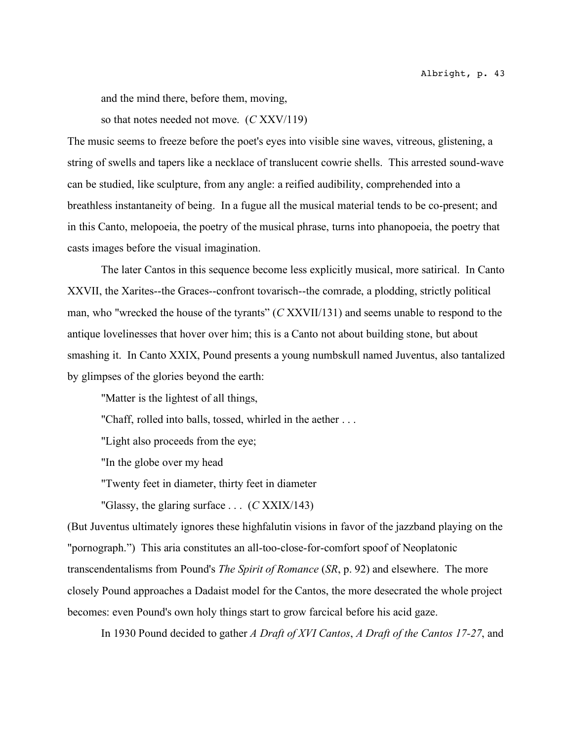and the mind there, before them, moving,

so that notes needed not move. (*C* XXV/119)

The music seems to freeze before the poet's eyes into visible sine waves, vitreous, glistening, a string of swells and tapers like a necklace of translucent cowrie shells. This arrested sound-wave can be studied, like sculpture, from any angle: a reified audibility, comprehended into a breathless instantaneity of being. In a fugue all the musical material tends to be co-present; and in this Canto, melopoeia, the poetry of the musical phrase, turns into phanopoeia, the poetry that casts images before the visual imagination.

The later Cantos in this sequence become less explicitly musical, more satirical. In Canto XXVII, the Xarites--the Graces--confront tovarisch--the comrade, a plodding, strictly political man, who "wrecked the house of the tyrants" (*C* XXVII/131) and seems unable to respond to the antique lovelinesses that hover over him; this is a Canto not about building stone, but about smashing it. In Canto XXIX, Pound presents a young numbskull named Juventus, also tantalized by glimpses of the glories beyond the earth:

"Matter is the lightest of all things,

"Chaff, rolled into balls, tossed, whirled in the aether . . .

"Light also proceeds from the eye;

"In the globe over my head

"Twenty feet in diameter, thirty feet in diameter

"Glassy, the glaring surface . . . (*C* XXIX/143)

(But Juventus ultimately ignores these highfalutin visions in favor of the jazzband playing on the "pornograph.") This aria constitutes an all-too-close-for-comfort spoof of Neoplatonic transcendentalisms from Pound's *The Spirit of Romance* (*SR*, p. 92) and elsewhere. The more closely Pound approaches a Dadaist model for the Cantos, the more desecrated the whole project becomes: even Pound's own holy things start to grow farcical before his acid gaze.

In 1930 Pound decided to gather *A Draft of XVI Cantos*, *A Draft of the Cantos 17-27*, and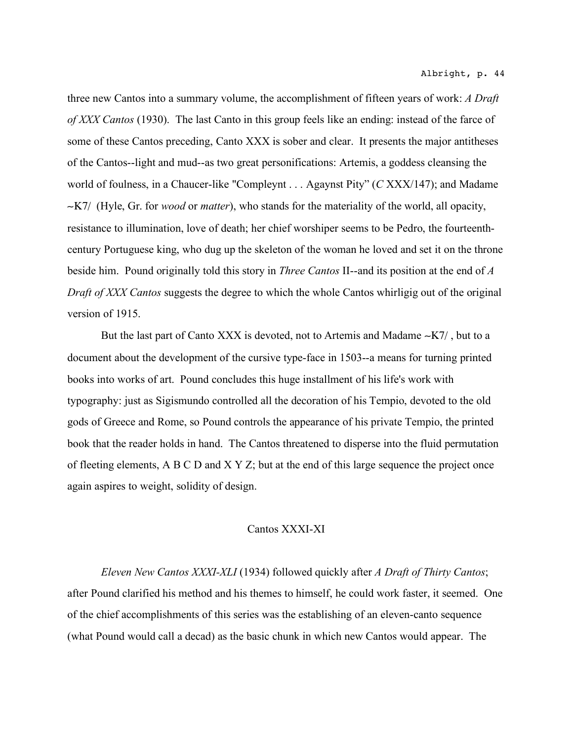three new Cantos into a summary volume, the accomplishment of fifteen years of work: *A Draft of XXX Cantos* (1930). The last Canto in this group feels like an ending: instead of the farce of some of these Cantos preceding, Canto XXX is sober and clear. It presents the major antitheses of the Cantos--light and mud--as two great personifications: Artemis, a goddess cleansing the world of foulness, in a Chaucer-like "Compleynt . . . Agaynst Pity" (*C* XXX/147); and Madame ∼Κ7/ (Hyle, Gr. for *wood* or *matter*), who stands for the materiality of the world, all opacity, resistance to illumination, love of death; her chief worshiper seems to be Pedro, the fourteenthcentury Portuguese king, who dug up the skeleton of the woman he loved and set it on the throne beside him. Pound originally told this story in *Three Cantos* II--and its position at the end of *A Draft of XXX Cantos* suggests the degree to which the whole Cantos whirligig out of the original version of 1915.

But the last part of Canto XXX is devoted, not to Artemis and Madame ∼Κ7/ , but to a document about the development of the cursive type-face in 1503--a means for turning printed books into works of art. Pound concludes this huge installment of his life's work with typography: just as Sigismundo controlled all the decoration of his Tempio, devoted to the old gods of Greece and Rome, so Pound controls the appearance of his private Tempio, the printed book that the reader holds in hand. The Cantos threatened to disperse into the fluid permutation of fleeting elements, A B C D and X Y Z; but at the end of this large sequence the project once again aspires to weight, solidity of design.

#### Cantos XXXI-XI

*Eleven New Cantos XXXI-XLI* (1934) followed quickly after *A Draft of Thirty Cantos*; after Pound clarified his method and his themes to himself, he could work faster, it seemed. One of the chief accomplishments of this series was the establishing of an eleven-canto sequence (what Pound would call a decad) as the basic chunk in which new Cantos would appear. The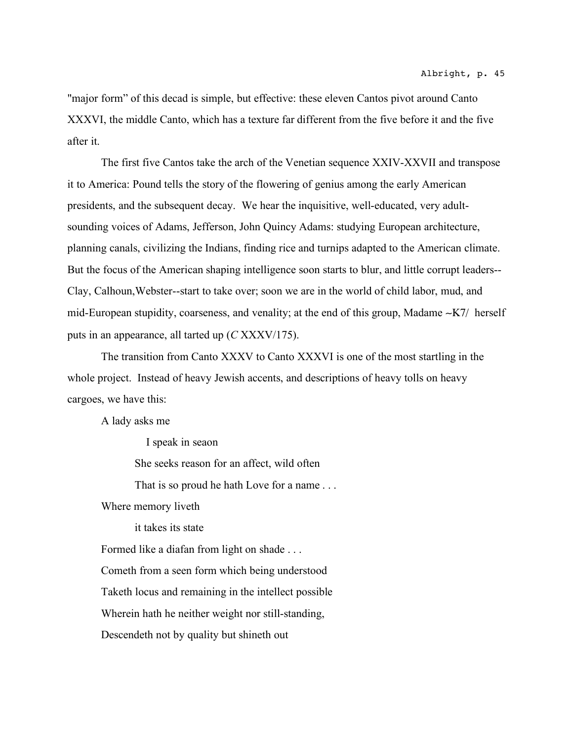"major form" of this decad is simple, but effective: these eleven Cantos pivot around Canto XXXVI, the middle Canto, which has a texture far different from the five before it and the five after it.

The first five Cantos take the arch of the Venetian sequence XXIV-XXVII and transpose it to America: Pound tells the story of the flowering of genius among the early American presidents, and the subsequent decay. We hear the inquisitive, well-educated, very adultsounding voices of Adams, Jefferson, John Quincy Adams: studying European architecture, planning canals, civilizing the Indians, finding rice and turnips adapted to the American climate. But the focus of the American shaping intelligence soon starts to blur, and little corrupt leaders-- Clay, Calhoun,Webster--start to take over; soon we are in the world of child labor, mud, and mid-European stupidity, coarseness, and venality; at the end of this group, Madame ∼K7/ herself puts in an appearance, all tarted up (*C* XXXV/175).

The transition from Canto XXXV to Canto XXXVI is one of the most startling in the whole project. Instead of heavy Jewish accents, and descriptions of heavy tolls on heavy cargoes, we have this:

A lady asks me

I speak in seaon

She seeks reason for an affect, wild often

That is so proud he hath Love for a name . . .

Where memory liveth

it takes its state

Formed like a diafan from light on shade . . .

Cometh from a seen form which being understood

Taketh locus and remaining in the intellect possible

Wherein hath he neither weight nor still-standing,

Descendeth not by quality but shineth out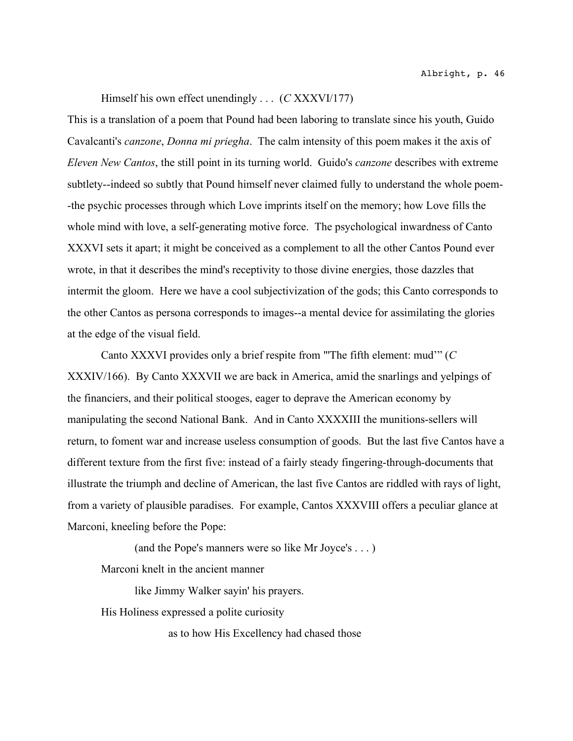# Himself his own effect unendingly . . . (*C* XXXVI/177)

This is a translation of a poem that Pound had been laboring to translate since his youth, Guido Cavalcanti's *canzone*, *Donna mi priegha*. The calm intensity of this poem makes it the axis of *Eleven New Cantos*, the still point in its turning world. Guido's *canzone* describes with extreme subtlety--indeed so subtly that Pound himself never claimed fully to understand the whole poem- -the psychic processes through which Love imprints itself on the memory; how Love fills the whole mind with love, a self-generating motive force. The psychological inwardness of Canto XXXVI sets it apart; it might be conceived as a complement to all the other Cantos Pound ever wrote, in that it describes the mind's receptivity to those divine energies, those dazzles that intermit the gloom. Here we have a cool subjectivization of the gods; this Canto corresponds to the other Cantos as persona corresponds to images--a mental device for assimilating the glories at the edge of the visual field.

Canto XXXVI provides only a brief respite from "'The fifth element: mud'" (*C* XXXIV/166). By Canto XXXVII we are back in America, amid the snarlings and yelpings of the financiers, and their political stooges, eager to deprave the American economy by manipulating the second National Bank. And in Canto XXXXIII the munitions-sellers will return, to foment war and increase useless consumption of goods. But the last five Cantos have a different texture from the first five: instead of a fairly steady fingering-through-documents that illustrate the triumph and decline of American, the last five Cantos are riddled with rays of light, from a variety of plausible paradises. For example, Cantos XXXVIII offers a peculiar glance at Marconi, kneeling before the Pope:

(and the Pope's manners were so like Mr Joyce's . . . )

Marconi knelt in the ancient manner

like Jimmy Walker sayin' his prayers.

His Holiness expressed a polite curiosity

as to how His Excellency had chased those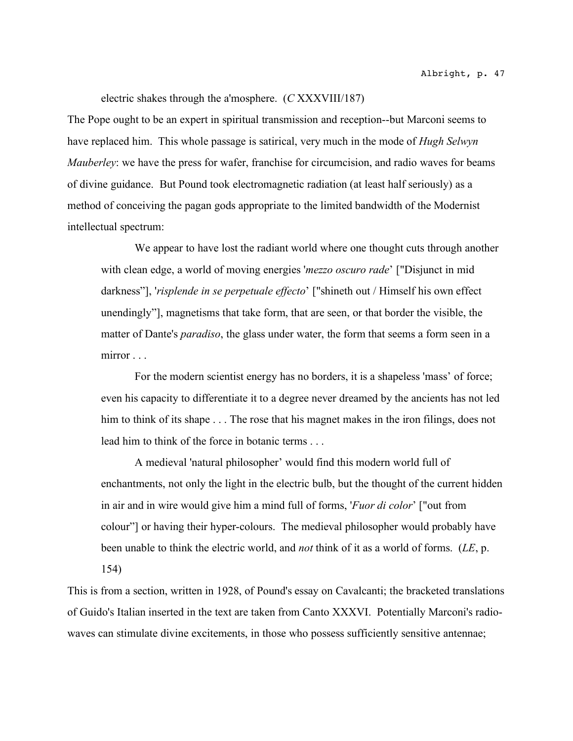electric shakes through the a'mosphere. (*C* XXXVIII/187)

The Pope ought to be an expert in spiritual transmission and reception--but Marconi seems to have replaced him. This whole passage is satirical, very much in the mode of *Hugh Selwyn Mauberley*: we have the press for wafer, franchise for circumcision, and radio waves for beams of divine guidance. But Pound took electromagnetic radiation (at least half seriously) as a method of conceiving the pagan gods appropriate to the limited bandwidth of the Modernist intellectual spectrum:

We appear to have lost the radiant world where one thought cuts through another with clean edge, a world of moving energies '*mezzo oscuro rade*' ["Disjunct in mid darkness"], '*risplende in se perpetuale effecto*' ["shineth out / Himself his own effect unendingly"], magnetisms that take form, that are seen, or that border the visible, the matter of Dante's *paradiso*, the glass under water, the form that seems a form seen in a mirror . . .

For the modern scientist energy has no borders, it is a shapeless 'mass' of force; even his capacity to differentiate it to a degree never dreamed by the ancients has not led him to think of its shape . . . The rose that his magnet makes in the iron filings, does not lead him to think of the force in botanic terms . . .

A medieval 'natural philosopher' would find this modern world full of enchantments, not only the light in the electric bulb, but the thought of the current hidden in air and in wire would give him a mind full of forms, '*Fuor di color*' ["out from colour"] or having their hyper-colours. The medieval philosopher would probably have been unable to think the electric world, and *not* think of it as a world of forms. (*LE*, p.

154)

This is from a section, written in 1928, of Pound's essay on Cavalcanti; the bracketed translations of Guido's Italian inserted in the text are taken from Canto XXXVI. Potentially Marconi's radiowaves can stimulate divine excitements, in those who possess sufficiently sensitive antennae;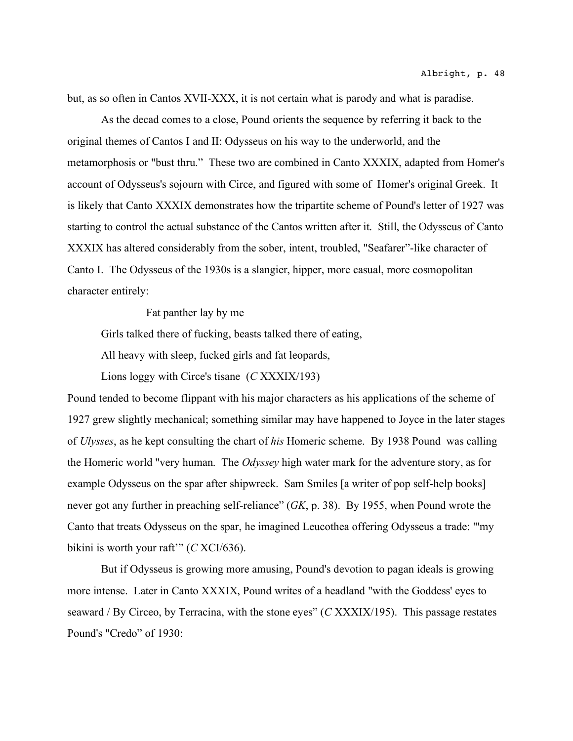but, as so often in Cantos XVII-XXX, it is not certain what is parody and what is paradise.

As the decad comes to a close, Pound orients the sequence by referring it back to the original themes of Cantos I and II: Odysseus on his way to the underworld, and the metamorphosis or "bust thru." These two are combined in Canto XXXIX, adapted from Homer's account of Odysseus's sojourn with Circe, and figured with some of Homer's original Greek. It is likely that Canto XXXIX demonstrates how the tripartite scheme of Pound's letter of 1927 was starting to control the actual substance of the Cantos written after it. Still, the Odysseus of Canto XXXIX has altered considerably from the sober, intent, troubled, "Seafarer"-like character of Canto I. The Odysseus of the 1930s is a slangier, hipper, more casual, more cosmopolitan character entirely:

Fat panther lay by me

Girls talked there of fucking, beasts talked there of eating,

All heavy with sleep, fucked girls and fat leopards,

Lions loggy with Circe's tisane (*C* XXXIX/193)

Pound tended to become flippant with his major characters as his applications of the scheme of 1927 grew slightly mechanical; something similar may have happened to Joyce in the later stages of *Ulysses*, as he kept consulting the chart of *his* Homeric scheme. By 1938 Pound was calling the Homeric world "very human. The *Odyssey* high water mark for the adventure story, as for example Odysseus on the spar after shipwreck. Sam Smiles [a writer of pop self-help books] never got any further in preaching self-reliance" (*GK*, p. 38). By 1955, when Pound wrote the Canto that treats Odysseus on the spar, he imagined Leucothea offering Odysseus a trade: "'my bikini is worth your raft'" (*C* XCI/636).

But if Odysseus is growing more amusing, Pound's devotion to pagan ideals is growing more intense. Later in Canto XXXIX, Pound writes of a headland "with the Goddess' eyes to seaward / By Circeo, by Terracina, with the stone eyes" (*C* XXXIX/195). This passage restates Pound's "Credo" of 1930: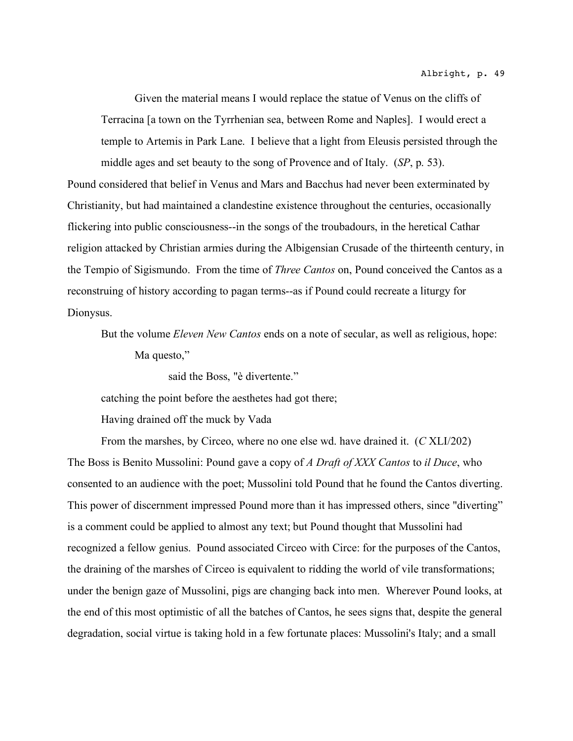Given the material means I would replace the statue of Venus on the cliffs of Terracina [a town on the Tyrrhenian sea, between Rome and Naples]. I would erect a temple to Artemis in Park Lane. I believe that a light from Eleusis persisted through the middle ages and set beauty to the song of Provence and of Italy. (*SP*, p. 53).

Pound considered that belief in Venus and Mars and Bacchus had never been exterminated by Christianity, but had maintained a clandestine existence throughout the centuries, occasionally flickering into public consciousness--in the songs of the troubadours, in the heretical Cathar religion attacked by Christian armies during the Albigensian Crusade of the thirteenth century, in the Tempio of Sigismundo. From the time of *Three Cantos* on, Pound conceived the Cantos as a reconstruing of history according to pagan terms--as if Pound could recreate a liturgy for Dionysus.

But the volume *Eleven New Cantos* ends on a note of secular, as well as religious, hope: Ma questo,"

said the Boss, "è divertente."

catching the point before the aesthetes had got there;

Having drained off the muck by Vada

From the marshes, by Circeo, where no one else wd. have drained it. (*C* XLI/202) The Boss is Benito Mussolini: Pound gave a copy of *A Draft of XXX Cantos* to *il Duce*, who consented to an audience with the poet; Mussolini told Pound that he found the Cantos diverting. This power of discernment impressed Pound more than it has impressed others, since "diverting" is a comment could be applied to almost any text; but Pound thought that Mussolini had recognized a fellow genius. Pound associated Circeo with Circe: for the purposes of the Cantos, the draining of the marshes of Circeo is equivalent to ridding the world of vile transformations; under the benign gaze of Mussolini, pigs are changing back into men. Wherever Pound looks, at the end of this most optimistic of all the batches of Cantos, he sees signs that, despite the general degradation, social virtue is taking hold in a few fortunate places: Mussolini's Italy; and a small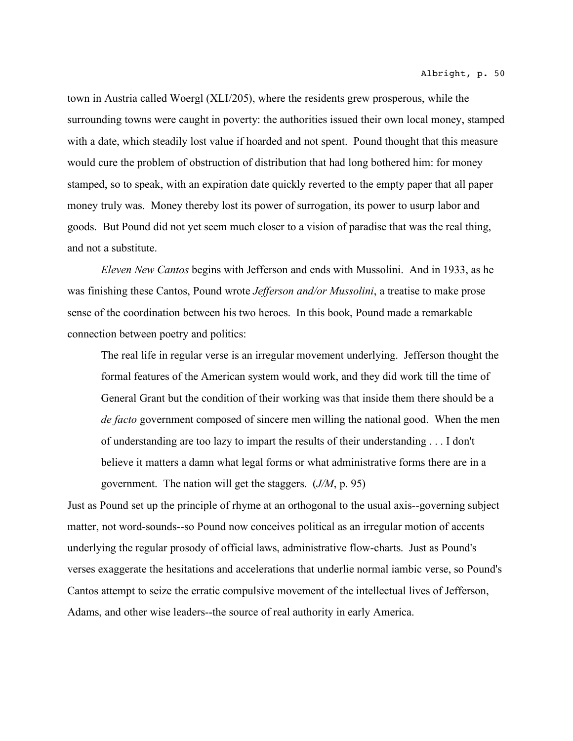Albright, p. 50

town in Austria called Woergl (XLI/205), where the residents grew prosperous, while the surrounding towns were caught in poverty: the authorities issued their own local money, stamped with a date, which steadily lost value if hoarded and not spent. Pound thought that this measure would cure the problem of obstruction of distribution that had long bothered him: for money stamped, so to speak, with an expiration date quickly reverted to the empty paper that all paper money truly was. Money thereby lost its power of surrogation, its power to usurp labor and goods. But Pound did not yet seem much closer to a vision of paradise that was the real thing, and not a substitute.

*Eleven New Cantos* begins with Jefferson and ends with Mussolini. And in 1933, as he was finishing these Cantos, Pound wrote *Jefferson and/or Mussolini*, a treatise to make prose sense of the coordination between his two heroes. In this book, Pound made a remarkable connection between poetry and politics:

The real life in regular verse is an irregular movement underlying. Jefferson thought the formal features of the American system would work, and they did work till the time of General Grant but the condition of their working was that inside them there should be a *de facto* government composed of sincere men willing the national good. When the men of understanding are too lazy to impart the results of their understanding . . . I don't believe it matters a damn what legal forms or what administrative forms there are in a government. The nation will get the staggers. (*J/M*, p. 95)

Just as Pound set up the principle of rhyme at an orthogonal to the usual axis--governing subject matter, not word-sounds--so Pound now conceives political as an irregular motion of accents underlying the regular prosody of official laws, administrative flow-charts. Just as Pound's verses exaggerate the hesitations and accelerations that underlie normal iambic verse, so Pound's Cantos attempt to seize the erratic compulsive movement of the intellectual lives of Jefferson, Adams, and other wise leaders--the source of real authority in early America.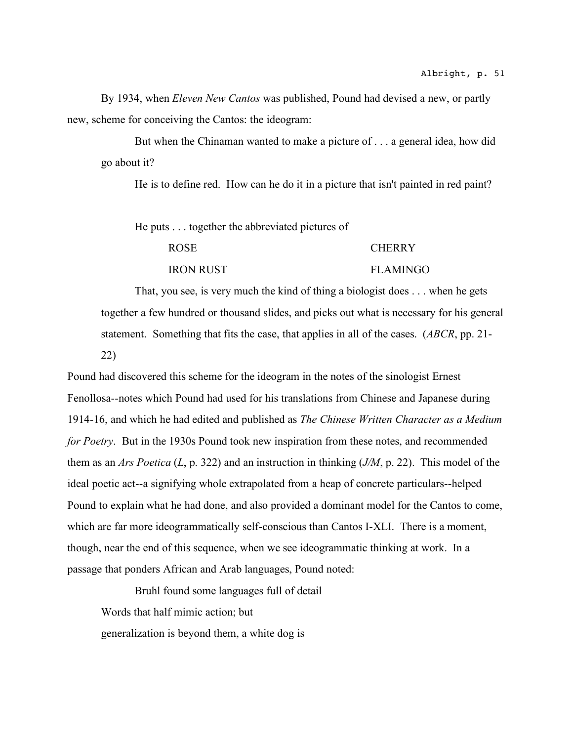By 1934, when *Eleven New Cantos* was published, Pound had devised a new, or partly new, scheme for conceiving the Cantos: the ideogram:

But when the Chinaman wanted to make a picture of . . . a general idea, how did go about it?

He is to define red. How can he do it in a picture that isn't painted in red paint?

He puts . . . together the abbreviated pictures of

| <b>ROSE</b>      | <b>CHERRY</b>   |
|------------------|-----------------|
| <b>IRON RUST</b> | <b>FLAMINGO</b> |

That, you see, is very much the kind of thing a biologist does . . . when he gets together a few hundred or thousand slides, and picks out what is necessary for his general statement. Something that fits the case, that applies in all of the cases. (*ABCR*, pp. 21- 22)

Pound had discovered this scheme for the ideogram in the notes of the sinologist Ernest Fenollosa--notes which Pound had used for his translations from Chinese and Japanese during 1914-16, and which he had edited and published as *The Chinese Written Character as a Medium for Poetry*. But in the 1930s Pound took new inspiration from these notes, and recommended them as an *Ars Poetica* (*L*, p. 322) and an instruction in thinking (*J/M*, p. 22). This model of the ideal poetic act--a signifying whole extrapolated from a heap of concrete particulars--helped Pound to explain what he had done, and also provided a dominant model for the Cantos to come, which are far more ideogrammatically self-conscious than Cantos I-XLI. There is a moment, though, near the end of this sequence, when we see ideogrammatic thinking at work. In a passage that ponders African and Arab languages, Pound noted:

Bruhl found some languages full of detail Words that half mimic action; but generalization is beyond them, a white dog is